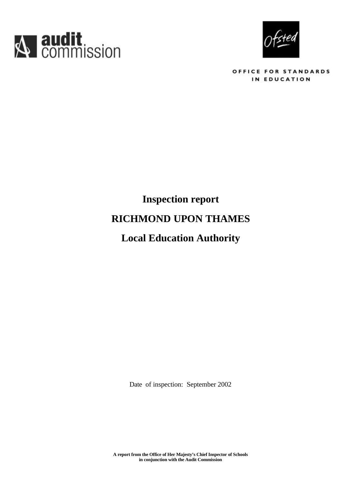



OFFICE FOR STANDARDS IN EDUCATION

# **Inspection report RICHMOND UPON THAMES Local Education Authority**

Date of inspection: September 2002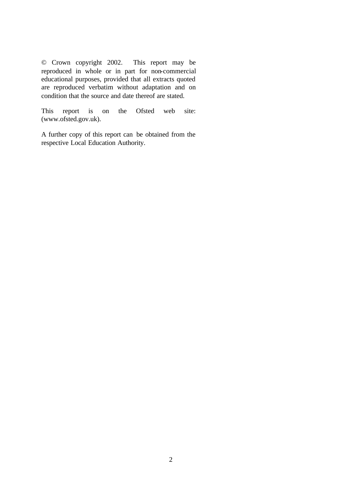© Crown copyright 2002. This report may be reproduced in whole or in part for non-commercial educational purposes, provided that all extracts quoted are reproduced verbatim without adaptation and on condition that the source and date thereof are stated.

This report is on the Ofsted web site: (www.ofsted.gov.uk).

A further copy of this report can be obtained from the respective Local Education Authority.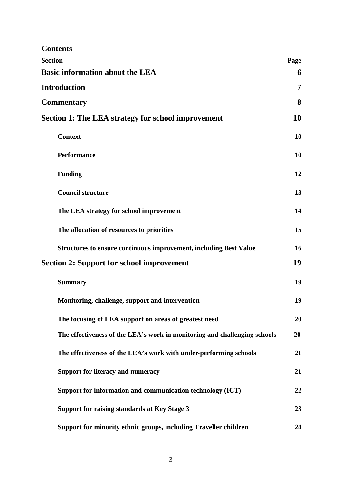| <b>Contents</b>                                                           |      |
|---------------------------------------------------------------------------|------|
| <b>Section</b>                                                            | Page |
| <b>Basic information about the LEA</b>                                    | 6    |
| <b>Introduction</b>                                                       | 7    |
| <b>Commentary</b>                                                         | 8    |
| <b>Section 1: The LEA strategy for school improvement</b>                 | 10   |
| <b>Context</b>                                                            | 10   |
| <b>Performance</b>                                                        | 10   |
| <b>Funding</b>                                                            | 12   |
| <b>Council structure</b>                                                  | 13   |
| The LEA strategy for school improvement                                   | 14   |
| The allocation of resources to priorities                                 | 15   |
| <b>Structures to ensure continuous improvement, including Best Value</b>  | 16   |
| <b>Section 2: Support for school improvement</b>                          | 19   |
| <b>Summary</b>                                                            | 19   |
| Monitoring, challenge, support and intervention                           | 19   |
| The focusing of LEA support on areas of greatest need                     | 20   |
| The effectiveness of the LEA's work in monitoring and challenging schools | 20   |
| The effectiveness of the LEA's work with under-performing schools         | 21   |
| <b>Support for literacy and numeracy</b>                                  | 21   |
| Support for information and communication technology (ICT)                | 22   |
| Support for raising standards at Key Stage 3                              | 23   |
| Support for minority ethnic groups, including Traveller children          | 24   |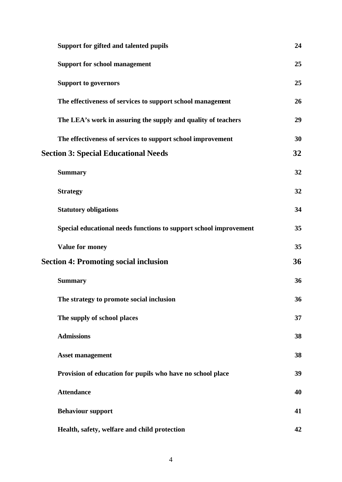| Support for gifted and talented pupils                            | 24 |
|-------------------------------------------------------------------|----|
| <b>Support for school management</b>                              | 25 |
| <b>Support to governors</b>                                       | 25 |
| The effectiveness of services to support school management        | 26 |
| The LEA's work in assuring the supply and quality of teachers     | 29 |
| The effectiveness of services to support school improvement       | 30 |
| <b>Section 3: Special Educational Needs</b>                       | 32 |
| <b>Summary</b>                                                    | 32 |
| <b>Strategy</b>                                                   | 32 |
| <b>Statutory obligations</b>                                      | 34 |
| Special educational needs functions to support school improvement | 35 |
| Value for money                                                   | 35 |
| <b>Section 4: Promoting social inclusion</b>                      | 36 |
| <b>Summary</b>                                                    | 36 |
| The strategy to promote social inclusion                          | 36 |
| The supply of school places                                       | 37 |
| <b>Admissions</b>                                                 | 38 |
| <b>Asset management</b>                                           | 38 |
| Provision of education for pupils who have no school place        | 39 |
| <b>Attendance</b>                                                 | 40 |
| <b>Behaviour support</b>                                          | 41 |
| Health, safety, welfare and child protection                      | 42 |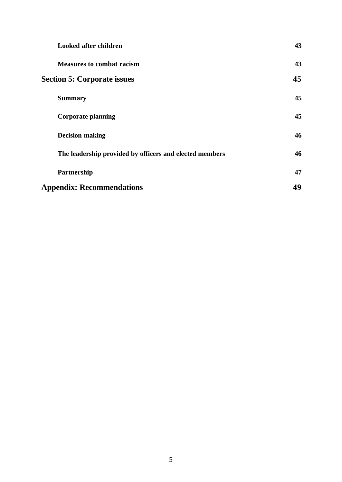| <b>Looked after children</b>                            | 43 |
|---------------------------------------------------------|----|
| <b>Measures to combat racism</b>                        | 43 |
| <b>Section 5: Corporate issues</b>                      | 45 |
| <b>Summary</b>                                          | 45 |
| <b>Corporate planning</b>                               | 45 |
| <b>Decision making</b>                                  | 46 |
| The leadership provided by officers and elected members | 46 |
| Partnership                                             | 47 |
| <b>Appendix: Recommendations</b>                        | 49 |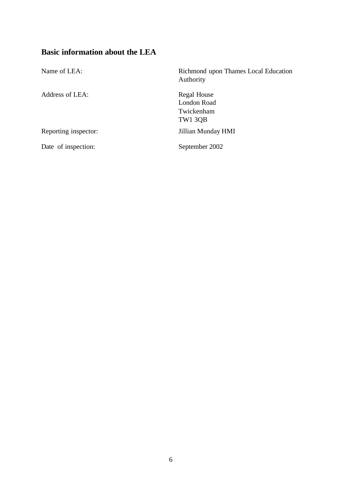# **Basic information about the LEA**

| Name of LEA:         | Richmond upon Thames Local Education<br>Authority          |
|----------------------|------------------------------------------------------------|
| Address of LEA:      | Regal House<br><b>London Road</b><br>Twickenham<br>TW1 3QB |
| Reporting inspector: | Jillian Munday HMI                                         |
| Date of inspection:  | September 2002                                             |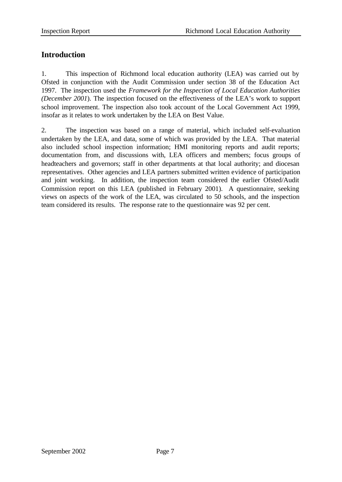# **Introduction**

1. This inspection of Richmond local education authority (LEA) was carried out by Ofsted in conjunction with the Audit Commission under section 38 of the Education Act 1997. The inspection used the *Framework for the Inspection of Local Education Authorities (December 2001*). The inspection focused on the effectiveness of the LEA's work to support school improvement. The inspection also took account of the Local Government Act 1999, insofar as it relates to work undertaken by the LEA on Best Value.

2. The inspection was based on a range of material, which included self-evaluation undertaken by the LEA, and data, some of which was provided by the LEA. That material also included school inspection information; HMI monitoring reports and audit reports; documentation from, and discussions with, LEA officers and members; focus groups of headteachers and governors; staff in other departments at that local authority; and diocesan representatives. Other agencies and LEA partners submitted written evidence of participation and joint working. In addition, the inspection team considered the earlier Ofsted/Audit Commission report on this LEA (published in February 2001). A questionnaire, seeking views on aspects of the work of the LEA, was circulated to 50 schools, and the inspection team considered its results. The response rate to the questionnaire was 92 per cent.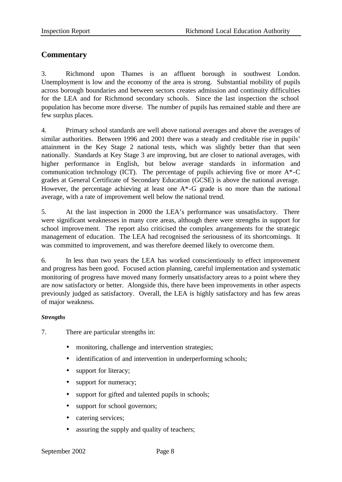# **Commentary**

3. Richmond upon Thames is an affluent borough in southwest London. Unemployment is low and the economy of the area is strong. Substantial mobility of pupils across borough boundaries and between sectors creates admission and continuity difficulties for the LEA and for Richmond secondary schools. Since the last inspection the school population has become more diverse. The number of pupils has remained stable and there are few surplus places.

4. Primary school standards are well above national averages and above the averages of similar authorities. Between 1996 and 2001 there was a steady and creditable rise in pupils' attainment in the Key Stage 2 national tests, which was slightly better than that seen nationally. Standards at Key Stage 3 are improving, but are closer to national averages, with higher performance in English, but below average standards in information and communication technology (ICT). The percentage of pupils achieving five or more  $A^*$ -C grades at General Certificate of Secondary Education (GCSE) is above the national average. However, the percentage achieving at least one  $A^*$ -G grade is no more than the national average, with a rate of improvement well below the national trend.

5. At the last inspection in 2000 the LEA's performance was unsatisfactory. There were significant weaknesses in many core areas, although there were strengths in support for school improvement. The report also criticised the complex arrangements for the strategic management of education. The LEA had recognised the seriousness of its shortcomings. It was committed to improvement, and was therefore deemed likely to overcome them.

6. In less than two years the LEA has worked conscientiously to effect improvement and progress has been good. Focused action planning, careful implementation and systematic monitoring of progress have moved many formerly unsatisfactory areas to a point where they are now satisfactory or better. Alongside this, there have been improvements in other aspects previously judged as satisfactory. Overall, the LEA is highly satisfactory and has few areas of major weakness.

## *Strengths*

- 7. There are particular strengths in:
	- monitoring, challenge and intervention strategies;
	- identification of and intervention in underperforming schools;
	- support for literacy;
	- support for numeracy;
	- support for gifted and talented pupils in schools;
	- support for school governors;
	- catering services;
	- assuring the supply and quality of teachers;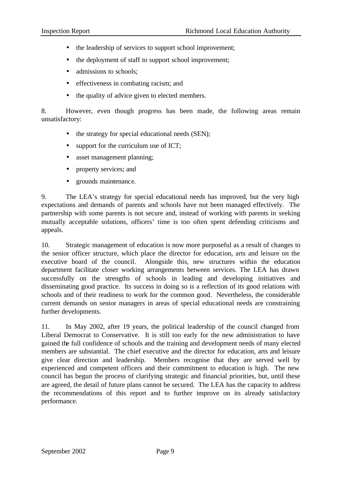- the leadership of services to support school improvement;
- the deployment of staff to support school improvement;
- admissions to schools;
- effectiveness in combating racism; and
- the quality of advice given to elected members.

8. However, even though progress has been made, the following areas remain unsatisfactory:

- the strategy for special educational needs (SEN);
- support for the curriculum use of ICT;
- asset management planning;
- property services; and
- grounds maintenance.

9. The LEA's strategy for special educational needs has improved, but the very high expectations and demands of parents and schools have not been managed effectively. The partnership with some parents is not secure and, instead of working with parents in seeking mutually acceptable solutions, officers' time is too often spent defending criticisms and appeals.

10. Strategic management of education is now more purposeful as a result of changes to the senior officer structure, which place the director for education, arts and leisure on the executive board of the council. Alongside this, new structures within the education department facilitate closer working arrangements between services. The LEA has drawn successfully on the strengths of schools in leading and developing initiatives and disseminating good practice. Its success in doing so is a reflection of its good relations with schools and of their readiness to work for the common good. Nevertheless, the considerable current demands on senior managers in areas of special educational needs are constraining further developments.

11. In May 2002, after 19 years, the political leadership of the council changed from Liberal Democrat to Conservative. It is still too early for the new administration to have gained the full confidence of schools and the training and development needs of many elected members are substantial. The chief executive and the director for education, arts and leisure give clear direction and leadership. Members recognise that they are served well by experienced and competent officers and their commitment to education is high. The new council has begun the process of clarifying strategic and financial priorities, but, until these are agreed, the detail of future plans cannot be secured. The LEA has the capacity to address the recommendations of this report and to further improve on its already satisfactory performance.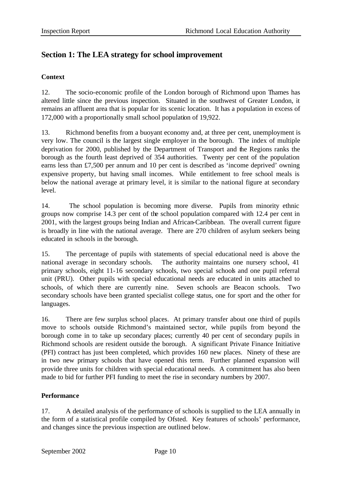# **Section 1: The LEA strategy for school improvement**

## **Context**

12. The socio-economic profile of the London borough of Richmond upon Thames has altered little since the previous inspection. Situated in the southwest of Greater London, it remains an affluent area that is popular for its scenic location. It has a population in excess of 172,000 with a proportionally small school population of 19,922.

13. Richmond benefits from a buoyant economy and, at three per cent, unemployment is very low. The council is the largest single employer in the borough. The index of multiple deprivation for 2000, published by the Department of Transport and the Regions ranks the borough as the fourth least deprived of 354 authorities. Twenty per cent of the population earns less than £7,500 per annum and 10 per cent is described as 'income deprived' owning expensive property, but having small incomes. While entitlement to free school meals is below the national average at primary level, it is similar to the national figure at secondary level.

14. The school population is becoming more diverse. Pupils from minority ethnic groups now comprise 14.3 per cent of the school population compared with 12.4 per cent in 2001, with the largest groups being Indian and African-Caribbean. The overall current figure is broadly in line with the national average. There are 270 children of asylum seekers being educated in schools in the borough.

15. The percentage of pupils with statements of special educational need is above the national average in secondary schools. The authority maintains one nursery school, 41 primary schools, eight 11-16 secondary schools, two special schools and one pupil referral unit (PRU). Other pupils with special educational needs are educated in units attached to schools, of which there are currently nine. Seven schools are Beacon schools. Two secondary schools have been granted specialist college status, one for sport and the other for languages.

16. There are few surplus school places. At primary transfer about one third of pupils move to schools outside Richmond's maintained sector, while pupils from beyond the borough come in to take up secondary places; currently 40 per cent of secondary pupils in Richmond schools are resident outside the borough. A significant Private Finance Initiative (PFI) contract has just been completed, which provides 160 new places. Ninety of these are in two new primary schools that have opened this term. Further planned expansion will provide three units for children with special educational needs. A commitment has also been made to bid for further PFI funding to meet the rise in secondary numbers by 2007.

## **Performance**

17. A detailed analysis of the performance of schools is supplied to the LEA annually in the form of a statistical profile compiled by Ofsted. Key features of schools' performance, and changes since the previous inspection are outlined below.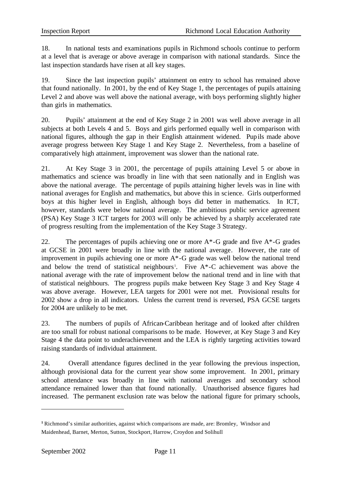18. In national tests and examinations pupils in Richmond schools continue to perform at a level that is average or above average in comparison with national standards. Since the last inspection standards have risen at all key stages.

19. Since the last inspection pupils' attainment on entry to school has remained above that found nationally. In 2001, by the end of Key Stage 1, the percentages of pupils attaining Level 2 and above was well above the national average, with boys performing slightly higher than girls in mathematics.

20. Pupils' attainment at the end of Key Stage 2 in 2001 was well above average in all subjects at both Levels 4 and 5. Boys and girls performed equally well in comparison with national figures, although the gap in their English attainment widened. Pupils made above average progress between Key Stage 1 and Key Stage 2. Nevertheless, from a baseline of comparatively high attainment, improvement was slower than the national rate.

21. At Key Stage 3 in 2001, the percentage of pupils attaining Level 5 or above in mathematics and science was broadly in line with that seen nationally and in English was above the national average. The percentage of pupils attaining higher levels was in line with national averages for English and mathematics, but above this in science. Girls outperformed boys at this higher level in English, although boys did better in mathematics. In ICT, however, standards were below national average. The ambitious public service agreement (PSA) Key Stage 3 ICT targets for 2003 will only be achieved by a sharply accelerated rate of progress resulting from the implementation of the Key Stage 3 Strategy.

22. The percentages of pupils achieving one or more  $A^*$ -G grade and five  $A^*$ -G grades at GCSE in 2001 were broadly in line with the national average. However, the rate of improvement in pupils achieving one or more A\*-G grade was well below the national trend and below the trend of statistical neighbours<sup>1</sup>. Five  $A^*$ -C achievement was above the national average with the rate of improvement below the national trend and in line with that of statistical neighbours. The progress pupils make between Key Stage 3 and Key Stage 4 was above average. However, LEA targets for 2001 were not met. Provisional results for 2002 show a drop in all indicators. Unless the current trend is reversed, PSA GCSE targets for 2004 are unlikely to be met.

23. The numbers of pupils of African-Caribbean heritage and of looked after children are too small for robust national comparisons to be made. However, at Key Stage 3 and Key Stage 4 the data point to underachievement and the LEA is rightly targeting activities toward raising standards of individual attainment.

24. Overall attendance figures declined in the year following the previous inspection, although provisional data for the current year show some improvement. In 2001, primary school attendance was broadly in line with national averages and secondary school attendance remained lower than that found nationally. Unauthorised absence figures had increased. The permanent exclusion rate was below the national figure for primary schools,

l

**<sup>1</sup>** Richmond's similar authorities, against which comparisons are made, are: Bromley, Windsor and Maidenhead, Barnet, Merton, Sutton, Stockport, Harrow, Croydon and Solihull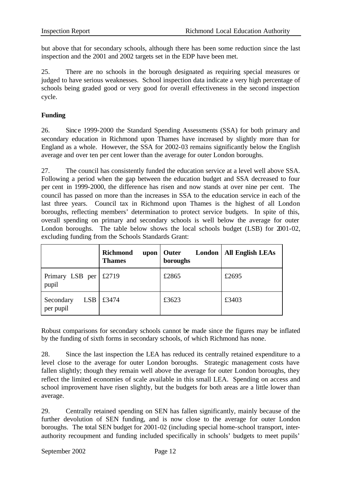but above that for secondary schools, although there has been some reduction since the last inspection and the 2001 and 2002 targets set in the EDP have been met.

25. There are no schools in the borough designated as requiring special measures or judged to have serious weaknesses. School inspection data indicate a very high percentage of schools being graded good or very good for overall effectiveness in the second inspection cycle.

## **Funding**

26. Since 1999-2000 the Standard Spending Assessments (SSA) for both primary and secondary education in Richmond upon Thames have increased by slightly more than for England as a whole. However, the SSA for 2002-03 remains significantly below the English average and over ten per cent lower than the average for outer London boroughs.

27. The council has consistently funded the education service at a level well above SSA. Following a period when the gap between the education budget and SSA decreased to four per cent in 1999-2000, the difference has risen and now stands at over nine per cent. The council has passed on more than the increases in SSA to the education service in each of the last three years. Council tax in Richmond upon Thames is the highest of all London boroughs, reflecting members' determination to protect service budgets. In spite of this, overall spending on primary and secondary schools is well below the average for outer London boroughs. The table below shows the local schools budget (LSB) for 2001-02, excluding funding from the Schools Standards Grant:

|                                      | <b>Richmond</b><br>upon<br><b>Thames</b> | London<br>  Outer<br>boroughs | <b>All English LEAs</b> |
|--------------------------------------|------------------------------------------|-------------------------------|-------------------------|
| Primary LSB per<br>pupil             | £2719                                    | £2865                         | £2695                   |
| Secondary<br><b>LSB</b><br>per pupil | £3474                                    | £3623                         | £3403                   |

Robust comparisons for secondary schools cannot be made since the figures may be inflated by the funding of sixth forms in secondary schools, of which Richmond has none.

28. Since the last inspection the LEA has reduced its centrally retained expenditure to a level close to the average for outer London boroughs. Strategic management costs have fallen slightly; though they remain well above the average for outer London boroughs, they reflect the limited economies of scale available in this small LEA. Spending on access and school improvement have risen slightly, but the budgets for both areas are a little lower than average.

29. Centrally retained spending on SEN has fallen significantly, mainly because of the further devolution of SEN funding, and is now close to the average for outer London boroughs. The total SEN budget for 2001-02 (including special home-school transport, interauthority recoupment and funding included specifically in schools' budgets to meet pupils'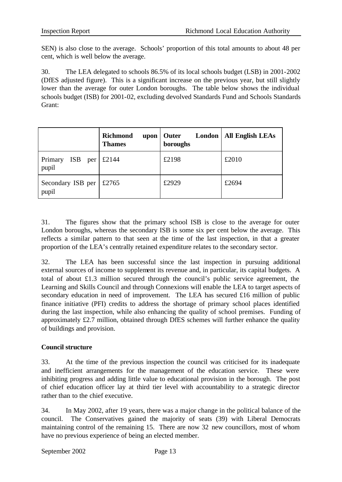SEN) is also close to the average. Schools' proportion of this total amounts to about 48 per cent, which is well below the average.

30. The LEA delegated to schools 86.5% of its local schools budget (LSB) in 2001-2002 (DfES adjusted figure). This is a significant increase on the previous year, but still slightly lower than the average for outer London boroughs. The table below shows the individual schools budget (ISB) for 2001-02, excluding devolved Standards Fund and Schools Standards Grant:

|                                       | <b>Richmond</b><br>upon<br><b>Thames</b> | London<br>Outer<br>boroughs | <b>All English LEAs</b> |
|---------------------------------------|------------------------------------------|-----------------------------|-------------------------|
| <b>ISB</b><br>Primary<br>per<br>pupil | £2144                                    | £2198                       | £2010                   |
| Secondary ISB per   $£2765$<br>pupil  |                                          | £2929                       | £2694                   |

31. The figures show that the primary school ISB is close to the average for outer London boroughs, whereas the secondary ISB is some six per cent below the average. This reflects a similar pattern to that seen at the time of the last inspection, in that a greater proportion of the LEA's centrally retained expenditure relates to the secondary sector.

32. The LEA has been successful since the last inspection in pursuing additional external sources of income to supplement its revenue and, in particular, its capital budgets. A total of about £1.3 million secured through the council's public service agreement, the Learning and Skills Council and through Connexions will enable the LEA to target aspects of secondary education in need of improvement. The LEA has secured £16 million of public finance initiative (PFI) credits to address the shortage of primary school places identified during the last inspection, while also enhancing the quality of school premises. Funding of approximately £2.7 million, obtained through DfES schemes will further enhance the quality of buildings and provision.

# **Council structure**

33. At the time of the previous inspection the council was criticised for its inadequate and inefficient arrangements for the management of the education service. These were inhibiting progress and adding little value to educational provision in the borough. The post of chief education officer lay at third tier level with accountability to a strategic director rather than to the chief executive.

34. In May 2002, after 19 years, there was a major change in the political balance of the council. The Conservatives gained the majority of seats (39) with Liberal Democrats maintaining control of the remaining 15. There are now 32 new councillors, most of whom have no previous experience of being an elected member.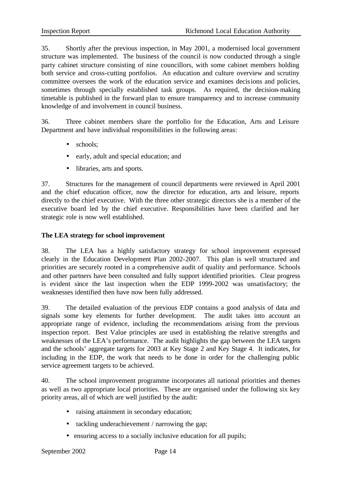35. Shortly after the previous inspection, in May 2001, a modernised local government structure was implemented. The business of the council is now conducted through a single party cabinet structure consisting of nine councillors, with some cabinet members holding both service and cross-cutting portfolios. An education and culture overview and scrutiny committee oversees the work of the education service and examines decisions and policies, sometimes through specially established task groups. As required, the decision-making timetable is published in the forward plan to ensure transparency and to increase community knowledge of and involvement in council business.

36. Three cabinet members share the portfolio for the Education, Arts and Leisure Department and have individual responsibilities in the following areas:

- schools:
- early, adult and special education; and
- libraries, arts and sports.

37. Structures for the management of council departments were reviewed in April 2001 and the chief education officer, now the director for education, arts and leisure, reports directly to the chief executive. With the three other strategic directors she is a member of the executive board led by the chief executive. Responsibilities have been clarified and her strategic role is now well established.

#### **The LEA strategy for school improvement**

38. The LEA has a highly satisfactory strategy for school improvement expressed clearly in the Education Development Plan 2002-2007. This plan is well structured and priorities are securely rooted in a comprehensive audit of quality and performance. Schools and other partners have been consulted and fully support identified priorities. Clear progress is evident since the last inspection when the EDP 1999-2002 was unsatisfactory; the weaknesses identified then have now been fully addressed.

39. The detailed evaluation of the previous EDP contains a good analysis of data and signals some key elements for further development. The audit takes into account an appropriate range of evidence, including the recommendations arising from the previous inspection report. Best Value principles are used in establishing the relative strengths and weaknesses of the LEA's performance. The audit highlights the gap between the LEA targets and the schools' aggregate targets for 2003 at Key Stage 2 and Key Stage 4. It indicates, for including in the EDP, the work that needs to be done in order for the challenging public service agreement targets to be achieved.

40. The school improvement programme incorporates all national priorities and themes as well as two appropriate local priorities. These are organised under the following six key priority areas, all of which are well justified by the audit:

- raising attainment in secondary education;
- tackling underachievement / narrowing the gap;
- ensuring access to a socially inclusive education for all pupils;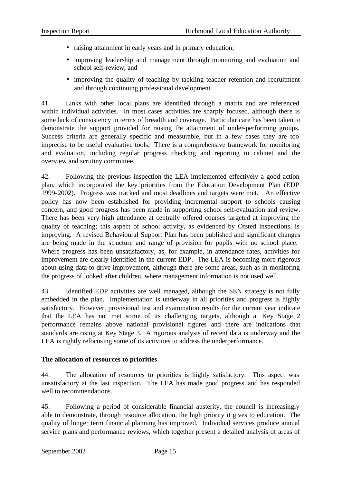- raising attainment in early years and in primary education;
- improving leadership and management through monitoring and evaluation and school self-review; and
- improving the quality of teaching by tackling teacher retention and recruitment and through continuing professional development.

41. Links with other local plans are identified through a matrix and are referenced within individual activities. In most cases activities are sharply focused, although there is some lack of consistency in terms of breadth and coverage. Particular care has been taken to demonstrate the support provided for raising the attainment of under-performing groups. Success criteria are generally specific and measurable, but in a few cases they are too imprecise to be useful evaluative tools. There is a comprehensive framework for monitoring and evaluation, including regular progress checking and reporting to cabinet and the overview and scrutiny committee.

42. Following the previous inspection the LEA implemented effectively a good action plan, which incorporated the key priorities from the Education Development Plan (EDP 1999-2002). Progress was tracked and most deadlines and targets were met. An effective policy has now been established for providing incremental support to schools causing concern, and good progress has been made in supporting school self-evaluation and review. There has been very high attendance at centrally offered courses targeted at improving the quality of teaching; this aspect of school activity, as evidenced by Ofsted inspections, is improving. A revised Behavioural Support Plan has been published and significant changes are being made in the structure and range of provision for pupils with no school place. Where progress has been unsatisfactory, as, for example, in attendance rates, activities for improvement are clearly identified in the current EDP. The LEA is becoming more rigorous about using data to drive improvement, although there are some areas, such as in monitoring the progress of looked after children, where management information is not used well.

43. Identified EDP activities are well managed, although the SEN strategy is not fully embedded in the plan. Implementation is underway in all priorities and progress is highly satisfactory. However, provisional test and examination results for the current year indicate that the LEA has not met some of its challenging targets, although at Key Stage 2 performance remains above national provisional figures and there are indications that standards are rising at Key Stage 3. A rigorous analysis of recent data is underway and the LEA is rightly refocusing some of its activities to address the underperformance.

## **The allocation of resources to priorities**

44. The allocation of resources to priorities is highly satisfactory. This aspect was unsatisfactory at the last inspection. The LEA has made good progress and has responded well to recommendations.

45. Following a period of considerable financial austerity, the council is increasingly able to demonstrate, through resource allocation, the high priority it gives to education. The quality of longer term financial planning has improved. Individual services produce annual service plans and performance reviews, which together present a detailed analysis of areas of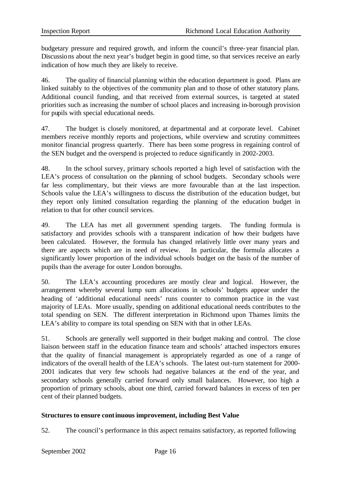budgetary pressure and required growth, and inform the council's three-year financial plan. Discussions about the next year's budget begin in good time, so that services receive an early indication of how much they are likely to receive.

46. The quality of financial planning within the education department is good. Plans are linked suitably to the objectives of the community plan and to those of other statutory plans. Additional council funding, and that received from external sources, is targeted at stated priorities such as increasing the number of school places and increasing in-borough provision for pupils with special educational needs.

47. The budget is closely monitored, at departmental and at corporate level. Cabinet members receive monthly reports and projections, while overview and scrutiny committees monitor financial progress quarterly. There has been some progress in regaining control of the SEN budget and the overspend is projected to reduce significantly in 2002-2003.

48. In the school survey, primary schools reported a high level of satisfaction with the LEA's process of consultation on the planning of school budgets. Secondary schools were far less complimentary, but their views are more favourable than at the last inspection. Schools value the LEA's willingness to discuss the distribution of the education budget, but they report only limited consultation regarding the planning of the education budget in relation to that for other council services.

49. The LEA has met all government spending targets. The funding formula is satisfactory and provides schools with a transparent indication of how their budgets have been calculated. However, the formula has changed relatively little over many years and there are aspects which are in need of review. In particular, the formula allocates a significantly lower proportion of the individual schools budget on the basis of the number of pupils than the average for outer London boroughs.

50. The LEA's accounting procedures are mostly clear and logical. However, the arrangement whereby several lump sum allocations in schools' budgets appear under the heading of 'additional educational needs' runs counter to common practice in the vast majority of LEAs. More usually, spending on additional educational needs contributes to the total spending on SEN. The different interpretation in Richmond upon Thames limits the LEA's ability to compare its total spending on SEN with that in other LEAs.

51. Schools are generally well supported in their budget making and control. The close liaison between staff in the education finance team and schools' attached inspectors ensures that the quality of financial management is appropriately regarded as one of a range of indicators of the overall health of the LEA's schools. The latest out-turn statement for 2000- 2001 indicates that very few schools had negative balances at the end of the year, and secondary schools generally carried forward only small balances. However, too high a proportion of primary schools, about one third, carried forward balances in excess of ten per cent of their planned budgets.

## **Structures to ensure continuous improvement, including Best Value**

52. The council's performance in this aspect remains satisfactory, as reported following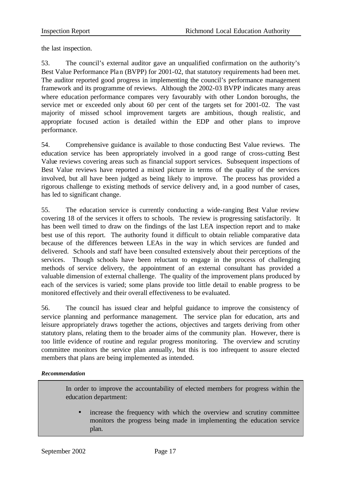the last inspection.

53. The council's external auditor gave an unqualified confirmation on the authority's Best Value Performance Plan (BVPP) for 2001-02, that statutory requirements had been met. The auditor reported good progress in implementing the council's performance management framework and its programme of reviews. Although the 2002-03 BVPP indicates many areas where education performance compares very favourably with other London boroughs, the service met or exceeded only about 60 per cent of the targets set for 2001-02. The vast majority of missed school improvement targets are ambitious, though realistic, and appropriate focused action is detailed within the EDP and other plans to improve performance.

54. Comprehensive guidance is available to those conducting Best Value reviews. The education service has been appropriately involved in a good range of cross-cutting Best Value reviews covering areas such as financial support services. Subsequent inspections of Best Value reviews have reported a mixed picture in terms of the quality of the services involved, but all have been judged as being likely to improve. The process has provided a rigorous challenge to existing methods of service delivery and, in a good number of cases, has led to significant change.

55. The education service is currently conducting a wide-ranging Best Value review covering 18 of the services it offers to schools. The review is progressing satisfactorily. It has been well timed to draw on the findings of the last LEA inspection report and to make best use of this report. The authority found it difficult to obtain reliable comparative data because of the differences between LEAs in the way in which services are funded and delivered. Schools and staff have been consulted extensively about their perceptions of the services. Though schools have been reluctant to engage in the process of challenging methods of service delivery, the appointment of an external consultant has provided a valuable dimension of external challenge. The quality of the improvement plans produced by each of the services is varied; some plans provide too little detail to enable progress to be monitored effectively and their overall effectiveness to be evaluated.

56. The council has issued clear and helpful guidance to improve the consistency of service planning and performance management. The service plan for education, arts and leisure appropriately draws together the actions, objectives and targets deriving from other statutory plans, relating them to the broader aims of the community plan. However, there is too little evidence of routine and regular progress monitoring. The overview and scrutiny committee monitors the service plan annually, but this is too infrequent to assure elected members that plans are being implemented as intended.

## *Recommendation*

In order to improve the accountability of elected members for progress within the education department:

• increase the frequency with which the overview and scrutiny committee monitors the progress being made in implementing the education service plan.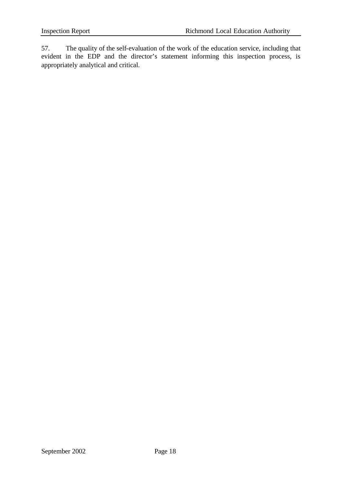57. The quality of the self-evaluation of the work of the education service, including that evident in the EDP and the director's statement informing this inspection process, is appropriately analytical and critical.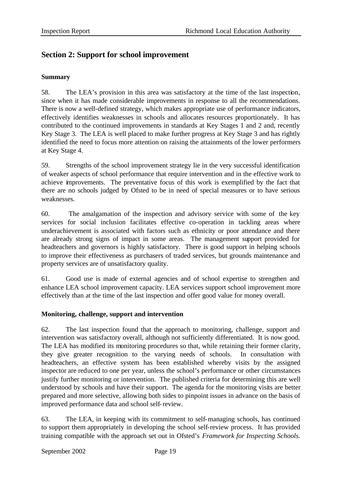# **Section 2: Support for school improvement**

## **Summary**

58. The LEA's provision in this area was satisfactory at the time of the last inspection, since when it has made considerable improvements in response to all the recommendations. There is now a well-defined strategy, which makes appropriate use of performance indicators, effectively identifies weaknesses in schools and allocates resources proportionately. It has contributed to the continued improvements in standards at Key Stages 1 and 2 and, recently Key Stage 3. The LEA is well placed to make further progress at Key Stage 3 and has rightly identified the need to focus more attention on raising the attainments of the lower performers at Key Stage 4.

59. Strengths of the school improvement strategy lie in the very successful identification of weaker aspects of school performance that require intervention and in the effective work to achieve improvements. The preventative focus of this work is exemplified by the fact that there are no schools judged by Ofsted to be in need of special measures or to have serious weaknesses.

60. The amalgamation of the inspection and advisory service with some of the key services for social inclusion facilitates effective co-operation in tackling areas where underachievement is associated with factors such as ethnicity or poor attendance and there are already strong signs of impact in some areas. The management support provided for headteachers and governors is highly satisfactory. There is good support in helping schools to improve their effectiveness as purchasers of traded services, but grounds maintenance and property services are of unsatisfactory quality.

61. Good use is made of external agencies and of school expertise to strengthen and enhance LEA school improvement capacity. LEA services support school improvement more effectively than at the time of the last inspection and offer good value for money overall.

## **Monitoring, challenge, support and intervention**

62. The last inspection found that the approach to monitoring, challenge, support and intervention was satisfactory overall, although not sufficiently differentiated. It is now good. The LEA has modified its monitoring procedures so that, while retaining their former clarity, they give greater recognition to the varying needs of schools. In consultation with headteachers, an effective system has been established whereby visits by the assigned inspector are reduced to one per year, unless the school's performance or other circumstances justify further monitoring or intervention. The published criteria for determining this are well understood by schools and have their support. The agenda for the monitoring visits are better prepared and more selective, allowing both sides to pinpoint issues in advance on the basis of improved performance data and school self-review.

63. The LEA, in keeping with its commitment to self-managing schools, has continued to support them appropriately in developing the school self-review process. It has provided training compatible with the approach set out in Ofsted's *Framework for Inspecting Schools.*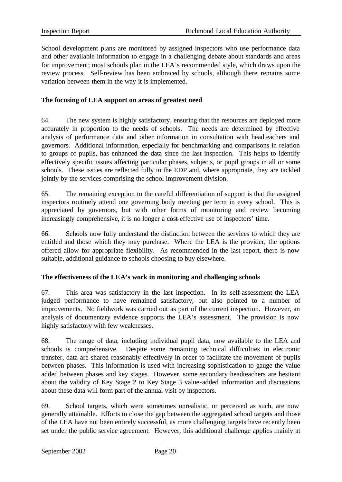School development plans are monitored by assigned inspectors who use performance data and other available information to engage in a challenging debate about standards and areas for improvement; most schools plan in the LEA's recommended style, which draws upon the review process. Self-review has been embraced by schools, although there remains some variation between them in the way it is implemented.

#### **The focusing of LEA support on areas of greatest need**

64. The new system is highly satisfactory, ensuring that the resources are deployed more accurately in proportion to the needs of schools. The needs are determined by effective analysis of performance data and other information in consultation with headteachers and governors. Additional information, especially for benchmarking and comparisons in relation to groups of pupils, has enhanced the data since the last inspection. This helps to identify effectively specific issues affecting particular phases, subjects, or pupil groups in all or some schools. These issues are reflected fully in the EDP and, where appropriate, they are tackled jointly by the services comprising the school improvement division.

65. The remaining exception to the careful differentiation of support is that the assigned inspectors routinely attend one governing body meeting per term in every school. This is appreciated by governors, but with other forms of monitoring and review becoming increasingly comprehensive, it is no longer a cost-effective use of inspectors' time.

66. Schools now fully understand the distinction between the services to which they are entitled and those which they may purchase. Where the LEA is the provider, the options offered allow for appropriate flexibility. As recommended in the last report, there is now suitable, additional guidance to schools choosing to buy elsewhere.

## **The effectiveness of the LEA's work in monitoring and challenging schools**

67. This area was satisfactory in the last inspection. In its self-assessment the LEA judged performance to have remained satisfactory, but also pointed to a number of improvements. No fieldwork was carried out as part of the current inspection. However, an analysis of documentary evidence supports the LEA's assessment. The provision is now highly satisfactory with few weaknesses.

68. The range of data, including individual pupil data, now available to the LEA and schools is comprehensive. Despite some remaining technical difficulties in electronic transfer, data are shared reasonably effectively in order to facilitate the movement of pupils between phases. This information is used with increasing sophistication to gauge the value added between phases and key stages. However, some secondary headteachers are hesitant about the validity of Key Stage 2 to Key Stage 3 value-added information and discussions about these data will form part of the annual visit by inspectors.

69. School targets, which were sometimes unrealistic, or perceived as such, are now generally attainable. Efforts to close the gap between the aggregated school targets and those of the LEA have not been entirely successful, as more challenging targets have recently been set under the public service agreement. However, this additional challenge applies mainly at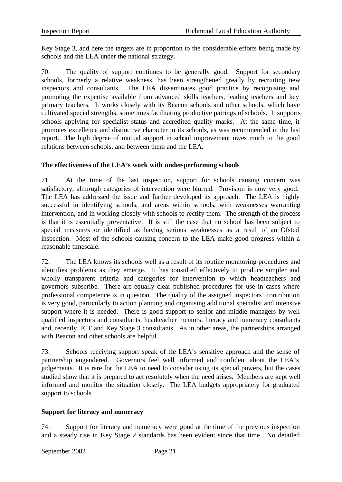Key Stage 3, and here the targets are in proportion to the considerable efforts being made by schools and the LEA under the national strategy.

70. The quality of support continues to be generally good. Support for secondary schools, formerly a relative weakness, has been strengthened greatly by recruiting new inspectors and consultants. The LEA disseminates good practice by recognising and promoting the expertise available from advanced skills teachers, leading teachers and key primary teachers. It works closely with its Beacon schools and other schools, which have cultivated special strengths, sometimes facilitating productive pairings of schools. It supports schools applying for specialist status and accredited quality marks. At the same time, it promotes excellence and distinctive character in its schools, as was recommended in the last report. The high degree of mutual support in school improvement owes much to the good relations between schools, and between them and the LEA.

## **The effectiveness of the LEA's work with under-performing schools**

71. At the time of the last inspection, support for schools causing concern was satisfactory, although categories of intervention were blurred. Provision is now very good. The LEA has addressed the issue and further developed its approach. The LEA is highly successful in identifying schools, and areas within schools, with weaknesses warranting intervention, and in working closely with schools to rectify them. The strength of the process is that it is essentially preventative. It is still the case that no school has been subject to special measures or identified as having serious weaknesses as a result of an Ofsted inspection. Most of the schools causing concern to the LEA make good progress within a reasonable timescale.

72. The LEA knows its schools well as a result of its routine monitoring procedures and identifies problems as they emerge. It has consulted effectively to produce simpler and wholly transparent criteria and categories for intervention to which headteachers and governors subscribe. There are equally clear published procedures for use in cases where professional competence is in question. The quality of the assigned inspectors' contribution is very good, particularly to action planning and organising additional specialist and intensive support where it is needed. There is good support to senior and middle managers by well qualified inspectors and consultants, headteacher mentors, literacy and numeracy consultants and, recently, ICT and Key Stage 3 consultants. As in other areas, the partnerships arranged with Beacon and other schools are helpful.

73. Schools receiving support speak of the LEA's sensitive approach and the sense of partnership engendered. Governors feel well informed and confident about the LEA's judgements. It is rare for the LEA to need to consider using its special powers, but the cases studied show that it is prepared to act resolutely when the need arises. Members are kept well informed and monitor the situation closely. The LEA budgets appropriately for graduated support to schools.

## **Support for literacy and numeracy**

74. Support for literacy and numeracy were good at the time of the previous inspection and a steady rise in Key Stage 2 standards has been evident since that time. No detailed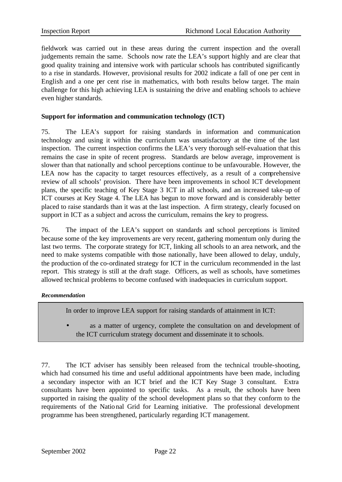fieldwork was carried out in these areas during the current inspection and the overall judgements remain the same. Schools now rate the LEA's support highly and are clear that good quality training and intensive work with particular schools has contributed significantly to a rise in standards. However, provisional results for 2002 indicate a fall of one per cent in English and a one per cent rise in mathematics, with both results below target. The main challenge for this high achieving LEA is sustaining the drive and enabling schools to achieve even higher standards.

#### **Support for information and communication technology (ICT)**

75. The LEA's support for raising standards in information and communication technology and using it within the curriculum was unsatisfactory at the time of the last inspection. The current inspection confirms the LEA's very thorough self-evaluation that this remains the case in spite of recent progress. Standards are below average, improvement is slower than that nationally and school perceptions continue to be unfavourable. However, the LEA now has the capacity to target resources effectively, as a result of a comprehensive review of all schools' provision. There have been improvements in school ICT development plans, the specific teaching of Key Stage 3 ICT in all schools, and an increased take-up of ICT courses at Key Stage 4. The LEA has begun to move forward and is considerably better placed to raise standards than it was at the last inspection. A firm strategy, clearly focused on support in ICT as a subject and across the curriculum, remains the key to progress.

76. The impact of the LEA's support on standards and school perceptions is limited because some of the key improvements are very recent, gathering momentum only during the last two terms. The corporate strategy for ICT, linking all schools to an area network, and the need to make systems compatible with those nationally, have been allowed to delay, unduly, the production of the co-ordinated strategy for ICT in the curriculum recommended in the last report. This strategy is still at the draft stage. Officers, as well as schools, have sometimes allowed technical problems to become confused with inadequacies in curriculum support.

#### *Recommendation*

In order to improve LEA support for raising standards of attainment in ICT:

as a matter of urgency, complete the consultation on and development of the ICT curriculum strategy document and disseminate it to schools.

77. The ICT adviser has sensibly been released from the technical trouble-shooting, which had consumed his time and useful additional appointments have been made, including a secondary inspector with an ICT brief and the ICT Key Stage 3 consultant. Extra consultants have been appointed to specific tasks. As a result, the schools have been supported in raising the quality of the school development plans so that they conform to the requirements of the National Grid for Learning initiative. The professional development programme has been strengthened, particularly regarding ICT management.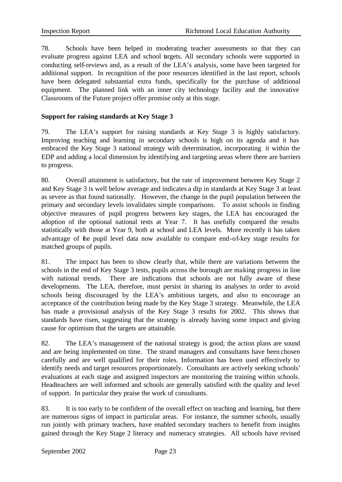78. Schools have been helped in moderating teacher assessments so that they can evaluate progress against LEA and school targets. All secondary schools were supported in conducting self-reviews and, as a result of the LEA's analysis, some have been targeted for additional support. In recognition of the poor resources identified in the last report, schools have been delegated substantial extra funds, specifically for the purchase of additional equipment. The planned link with an inner city technology facility and the innovative Classrooms of the Future project offer promise only at this stage.

## **Support for raising standards at Key Stage 3**

79. The LEA's support for raising standards at Key Stage 3 is highly satisfactory. Improving teaching and learning in secondary schools is high on its agenda and it has embraced the Key Stage 3 national strategy with determination, incorporating it within the EDP and adding a local dimension by identifying and targeting areas where there are barriers to progress.

80. Overall attainment is satisfactory, but the rate of improvement between Key Stage 2 and Key Stage 3 is well below average and indicates a dip in standards at Key Stage 3 at least as severe as that found nationally. However, the change in the pupil population between the primary and secondary levels invalidates simple comparisons. To assist schools in finding objective measures of pupil progress between key stages, the LEA has encouraged the adoption of the optional national tests at Year 7. It has usefully compared the results statistically with those at Year 9, both at school and LEA levels. More recently it has taken advantage of the pupil level data now available to compare end-of-key stage results for matched groups of pupils.

81. The impact has been to show clearly that, while there are variations between the schools in the end of Key Stage 3 tests, pupils across the borough are making progress in line with national trends. There are indications that schools are not fully aware of these developments. The LEA, therefore, must persist in sharing its analyses in order to avoid schools being discouraged by the LEA's ambitious targets, and also to encourage an acceptance of the contribution being made by the Key Stage 3 strategy. Meanwhile, the LEA has made a provisional analysis of the Key Stage 3 results for 2002. This shows that standards have risen, suggesting that the strategy is already having some impact and giving cause for optimism that the targets are attainable.

82. The LEA's management of the national strategy is good; the action plans are sound and are being implemented on time. The strand managers and consultants have been chosen carefully and are well qualified for their roles. Information has been used effectively to identify needs and target resources proportionately. Consultants are actively seeking schools' evaluations at each stage and assigned inspectors are monitoring the training within schools. Headteachers are well informed and schools are generally satisfied with the quality and level of support. In particular they praise the work of consultants.

83. It is too early to be confident of the overall effect on teaching and learning, but there are numerous signs of impact in particular areas. For instance, the summer schools, usually run jointly with primary teachers, have enabled secondary teachers to benefit from insights gained through the Key Stage 2 literacy and numeracy strategies. All schools have revised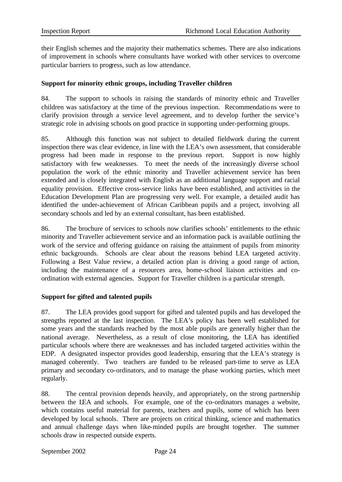their English schemes and the majority their mathematics schemes. There are also indications of improvement in schools where consultants have worked with other services to overcome particular barriers to progress, such as low attendance.

#### **Support for minority ethnic groups, including Traveller children**

84. The support to schools in raising the standards of minority ethnic and Traveller children was satisfactory at the time of the previous inspection. Recommendations were to clarify provision through a service level agreement, and to develop further the service's strategic role in advising schools on good practice in supporting under-performing groups.

85. Although this function was not subject to detailed fieldwork during the current inspection there was clear evidence, in line with the LEA's own assessment, that considerable progress had been made in response to the previous report. Support is now highly satisfactory with few weaknesses. To meet the needs of the increasingly diverse school population the work of the ethnic minority and Traveller achievement service has been extended and is closely integrated with English as an additional language support and racial equality provision. Effective cross-service links have been established, and activities in the Education Development Plan are progressing very well. For example, a detailed audit has identified the under-achievement of African Caribbean pupils and a project, involving all secondary schools and led by an external consultant, has been established.

86. The brochure of services to schools now clarifies schools' entitlements to the ethnic minority and Traveller achievement service and an information pack is available outlining the work of the service and offering guidance on raising the attainment of pupils from minority ethnic backgrounds. Schools are clear about the reasons behind LEA targeted activity. Following a Best Value review, a detailed action plan is driving a good range of action, including the maintenance of a resources area, home-school liaison activities and coordination with external agencies. Support for Traveller children is a particular strength.

## **Support for gifted and talented pupils**

87. The LEA provides good support for gifted and talented pupils and has developed the strengths reported at the last inspection. The LEA's policy has been well established for some years and the standards reached by the most able pupils are generally higher than the national average. Nevertheless, as a result of close monitoring, the LEA has identified particular schools where there are weaknesses and has included targeted activities within the EDP. A designated inspector provides good leadership, ensuring that the LEA's strategy is managed coherently. Two teachers are funded to be released part-time to serve as LEA primary and secondary co-ordinators, and to manage the phase working parties, which meet regularly.

88. The central provision depends heavily, and appropriately, on the strong partnership between the LEA and schools. For example, one of the co-ordinators manages a website, which contains useful material for parents, teachers and pupils, some of which has been developed by local schools. There are projects on critical thinking, science and mathematics and annual challenge days when like-minded pupils are brought together. The summer schools draw in respected outside experts.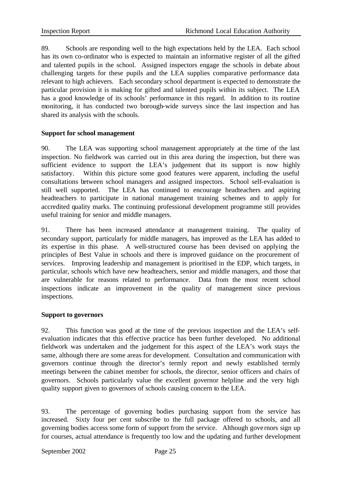89. Schools are responding well to the high expectations held by the LEA. Each school has its own co-ordinator who is expected to maintain an informative register of all the gifted and talented pupils in the school. Assigned inspectors engage the schools in debate about challenging targets for these pupils and the LEA supplies comparative performance data relevant to high achievers. Each secondary school department is expected to demonstrate the particular provision it is making for gifted and talented pupils within its subject. The LEA has a good knowledge of its schools' performance in this regard. In addition to its routine monitoring, it has conducted two borough-wide surveys since the last inspection and has shared its analysis with the schools.

## **Support for school management**

90. The LEA was supporting school management appropriately at the time of the last inspection. No fieldwork was carried out in this area during the inspection, but there was sufficient evidence to support the LEA's judgement that its support is now highly satisfactory. Within this picture some good features were apparent, including the useful consultations between school managers and assigned inspectors. School self-evaluation is still well supported. The LEA has continued to encourage headteachers and aspiring headteachers to participate in national management training schemes and to apply for accredited quality marks. The continuing professional development programme still provides useful training for senior and middle managers.

91. There has been increased attendance at management training. The quality of secondary support, particularly for middle managers, has improved as the LEA has added to its expertise in this phase. A well-structured course has been devised on applying the principles of Best Value in schools and there is improved guidance on the procurement of services. Improving leadership and management is prioritised in the EDP, which targets, in particular, schools which have new headteachers, senior and middle managers, and those that are vulnerable for reasons related to performance. Data from the most recent school inspections indicate an improvement in the quality of management since previous inspections.

#### **Support to governors**

92. This function was good at the time of the previous inspection and the LEA's selfevaluation indicates that this effective practice has been further developed. No additional fieldwork was undertaken and the judgement for this aspect of the LEA's work stays the same, although there are some areas for development. Consultation and communication with governors continue through the director's termly report and newly established termly meetings between the cabinet member for schools, the director, senior officers and chairs of governors. Schools particularly value the excellent governor helpline and the very high quality support given to governors of schools causing concern to the LEA.

93. The percentage of governing bodies purchasing support from the service has increased. Sixty four per cent subscribe to the full package offered to schools, and all governing bodies access some form of support from the service. Although gove rnors sign up for courses, actual attendance is frequently too low and the updating and further development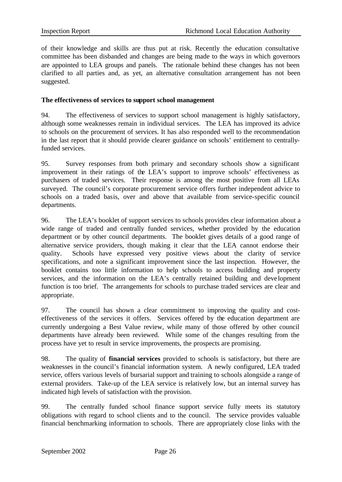of their knowledge and skills are thus put at risk. Recently the education consultative committee has been disbanded and changes are being made to the ways in which governors are appointed to LEA groups and panels. The rationale behind these changes has not been clarified to all parties and, as yet, an alternative consultation arrangement has not been suggested.

#### **The effectiveness of services to support school management**

94. The effectiveness of services to support school management is highly satisfactory, although some weaknesses remain in individual services. The LEA has improved its advice to schools on the procurement of services. It has also responded well to the recommendation in the last report that it should provide clearer guidance on schools' entitlement to centrallyfunded services.

95. Survey responses from both primary and secondary schools show a significant improvement in their ratings of the LEA's support to improve schools' effectiveness as purchasers of traded services. Their response is among the most positive from all LEAs surveyed. The council's corporate procurement service offers further independent advice to schools on a traded basis, over and above that available from service-specific council departments.

96. The LEA's booklet of support services to schools provides clear information about a wide range of traded and centrally funded services, whether provided by the education department or by other council departments. The booklet gives details of a good range of alternative service providers, though making it clear that the LEA cannot endorse their quality. Schools have expressed very positive views about the clarity of service specifications, and note a significant improvement since the last inspection. However, the booklet contains too little information to help schools to access building and property services, and the information on the LEA's centrally retained building and deve lopment function is too brief. The arrangements for schools to purchase traded services are clear and appropriate.

97. The council has shown a clear commitment to improving the quality and costeffectiveness of the services it offers. Services offered by the education department are currently undergoing a Best Value review, while many of those offered by other council departments have already been reviewed. While some of the changes resulting from the process have yet to result in service improvements, the prospects are promising.

98. The quality of **financial services** provided to schools is satisfactory, but there are weaknesses in the council's financial information system. A newly configured, LEA traded service, offers various levels of bursarial support and training to schools alongside a range of external providers. Take-up of the LEA service is relatively low, but an internal survey has indicated high levels of satisfaction with the provision.

99. The centrally funded school finance support service fully meets its statutory obligations with regard to school clients and to the council. The service provides valuable financial benchmarking information to schools. There are appropriately close links with the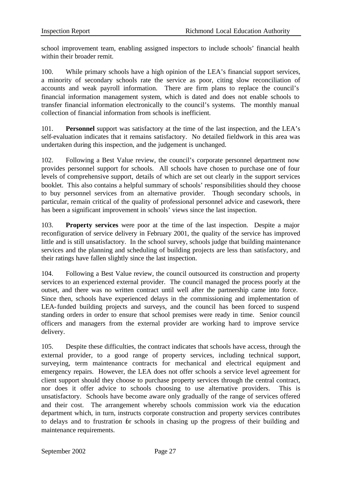school improvement team, enabling assigned inspectors to include schools' financial health within their broader remit.

100. While primary schools have a high opinion of the LEA's financial support services, a minority of secondary schools rate the service as poor, citing slow reconciliation of accounts and weak payroll information. There are firm plans to replace the council's financial information management system, which is dated and does not enable schools to transfer financial information electronically to the council's systems. The monthly manual collection of financial information from schools is inefficient.

101. **Personnel** support was satisfactory at the time of the last inspection, and the LEA's self-evaluation indicates that it remains satisfactory. No detailed fieldwork in this area was undertaken during this inspection, and the judgement is unchanged.

102. Following a Best Value review, the council's corporate personnel department now provides personnel support for schools. All schools have chosen to purchase one of four levels of comprehensive support, details of which are set out clearly in the support services booklet. This also contains a helpful summary of schools' responsibilities should they choose to buy personnel services from an alternative provider. Though secondary schools, in particular, remain critical of the quality of professional personnel advice and casework, there has been a significant improvement in schools' views since the last inspection.

103. **Property services** were poor at the time of the last inspection. Despite a major reconfiguration of service delivery in February 2001, the quality of the service has improved little and is still unsatisfactory. In the school survey, schools judge that building maintenance services and the planning and scheduling of building projects are less than satisfactory, and their ratings have fallen slightly since the last inspection.

104. Following a Best Value review, the council outsourced its construction and property services to an experienced external provider. The council managed the process poorly at the outset, and there was no written contract until well after the partnership came into force. Since then, schools have experienced delays in the commissioning and implementation of LEA-funded building projects and surveys, and the council has been forced to suspend standing orders in order to ensure that school premises were ready in time. Senior council officers and managers from the external provider are working hard to improve service delivery.

105. Despite these difficulties, the contract indicates that schools have access, through the external provider, to a good range of property services, including technical support, surveying, term maintenance contracts for mechanical and electrical equipment and emergency repairs. However, the LEA does not offer schools a service level agreement for client support should they choose to purchase property services through the central contract, nor does it offer advice to schools choosing to use alternative providers. This is unsatisfactory. Schools have become aware only gradually of the range of services offered and their cost. The arrangement whereby schools commission work via the education department which, in turn, instructs corporate construction and property services contributes to delays and to frustration for schools in chasing up the progress of their building and maintenance requirements.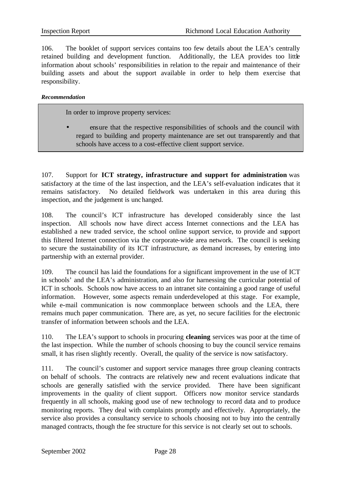106. The booklet of support services contains too few details about the LEA's centrally retained building and development function. Additionally, the LEA provides too little information about schools' responsibilities in relation to the repair and maintenance of their building assets and about the support available in order to help them exercise that responsibility.

#### *Recommendation*

In order to improve property services:

• ensure that the respective responsibilities of schools and the council with regard to building and property maintenance are set out transparently and that schools have access to a cost-effective client support service.

107. Support for **ICT strategy, infrastructure and support for administration** was satisfactory at the time of the last inspection, and the LEA's self-evaluation indicates that it remains satisfactory. No detailed fieldwork was undertaken in this area during this inspection, and the judgement is unchanged.

108. The council's ICT infrastructure has developed considerably since the last inspection. All schools now have direct access Internet connections and the LEA has established a new traded service, the school online support service, to provide and support this filtered Internet connection via the corporate-wide area network. The council is seeking to secure the sustainability of its ICT infrastructure, as demand increases, by entering into partnership with an external provider.

109. The council has laid the foundations for a significant improvement in the use of ICT in schools' and the LEA's administration, and also for harnessing the curricular potential of ICT in schools. Schools now have access to an intranet site containing a good range of useful information. However, some aspects remain underdeveloped at this stage. For example, while e-mail communication is now commonplace between schools and the LEA, there remains much paper communication. There are, as yet, no secure facilities for the electronic transfer of information between schools and the LEA.

110. The LEA's support to schools in procuring **cleaning** services was poor at the time of the last inspection. While the number of schools choosing to buy the council service remains small, it has risen slightly recently. Overall, the quality of the service is now satisfactory.

111. The council's customer and support service manages three group cleaning contracts on behalf of schools. The contracts are relatively new and recent evaluations indicate that schools are generally satisfied with the service provided. There have been significant improvements in the quality of client support. Officers now monitor service standards frequently in all schools, making good use of new technology to record data and to produce monitoring reports. They deal with complaints promptly and effectively. Appropriately, the service also provides a consultancy service to schools choosing not to buy into the centrally managed contracts, though the fee structure for this service is not clearly set out to schools.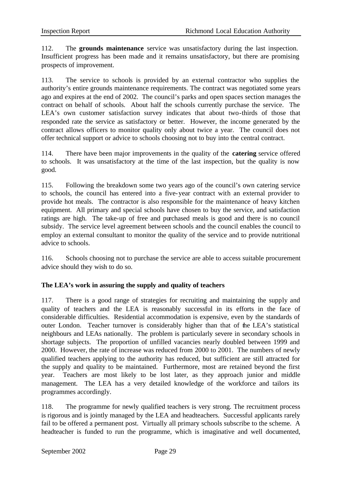112. The **grounds maintenance** service was unsatisfactory during the last inspection. Insufficient progress has been made and it remains unsatisfactory, but there are promising prospects of improvement.

113. The service to schools is provided by an external contractor who supplies the authority's entire grounds maintenance requirements. The contract was negotiated some years ago and expires at the end of 2002. The council's parks and open spaces section manages the contract on behalf of schools. About half the schools currently purchase the service. The LEA's own customer satisfaction survey indicates that about two-thirds of those that responded rate the service as satisfactory or better. However, the income generated by the contract allows officers to monitor quality only about twice a year. The council does not offer technical support or advice to schools choosing not to buy into the central contract.

114. There have been major improvements in the quality of the **catering** service offered to schools. It was unsatisfactory at the time of the last inspection, but the quality is now good.

115. Following the breakdown some two years ago of the council's own catering service to schools, the council has entered into a five-year contract with an external provider to provide hot meals. The contractor is also responsible for the maintenance of heavy kitchen equipment. All primary and special schools have chosen to buy the service, and satisfaction ratings are high. The take-up of free and purchased meals is good and there is no council subsidy. The service level agreement between schools and the council enables the council to employ an external consultant to monitor the quality of the service and to provide nutritional advice to schools.

116. Schools choosing not to purchase the service are able to access suitable procurement advice should they wish to do so.

## **The LEA's work in assuring the supply and quality of teachers**

117. There is a good range of strategies for recruiting and maintaining the supply and quality of teachers and the LEA is reasonably successful in its efforts in the face of considerable difficulties. Residential accommodation is expensive, even by the standards of outer London. Teacher turnover is considerably higher than that of the LEA's statistical neighbours and LEAs nationally. The problem is particularly severe in secondary schools in shortage subjects. The proportion of unfilled vacancies nearly doubled between 1999 and 2000. However, the rate of increase was reduced from 2000 to 2001. The numbers of newly qualified teachers applying to the authority has reduced, but sufficient are still attracted for the supply and quality to be maintained. Furthermore, most are retained beyond the first year. Teachers are most likely to be lost later, as they approach junior and middle management. The LEA has a very detailed knowledge of the workforce and tailors its programmes accordingly.

118. The programme for newly qualified teachers is very strong. The recruitment process is rigorous and is jointly managed by the LEA and headteachers. Successful applicants rarely fail to be offered a permanent post. Virtually all primary schools subscribe to the scheme. A headteacher is funded to run the programme, which is imaginative and well documented,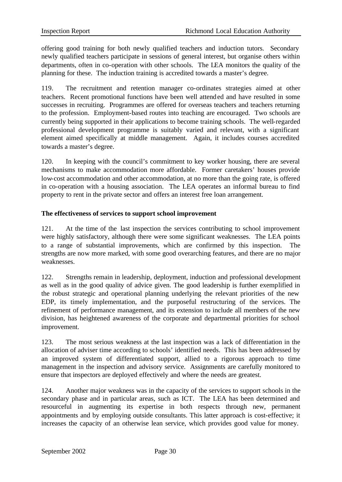offering good training for both newly qualified teachers and induction tutors. Secondary newly qualified teachers participate in sessions of general interest, but organise others within departments, often in co-operation with other schools. The LEA monitors the quality of the planning for these. The induction training is accredited towards a master's degree.

119. The recruitment and retention manager co-ordinates strategies aimed at other teachers. Recent promotional functions have been well attended and have resulted in some successes in recruiting. Programmes are offered for overseas teachers and teachers returning to the profession. Employment-based routes into teaching are encouraged. Two schools are currently being supported in their applications to become training schools. The well-regarded professional development programme is suitably varied and relevant, with a significant element aimed specifically at middle management. Again, it includes courses accredited towards a master's degree.

120. In keeping with the council's commitment to key worker housing, there are several mechanisms to make accommodation more affordable. Former caretakers' houses provide low-cost accommodation and other accommodation, at no more than the going rate, is offered in co-operation with a housing association. The LEA operates an informal bureau to find property to rent in the private sector and offers an interest free loan arrangement.

## **The effectiveness of services to support school improvement**

121. At the time of the last inspection the services contributing to school improvement were highly satisfactory, although there were some significant weaknesses. The LEA points to a range of substantial improvements, which are confirmed by this inspection. The strengths are now more marked, with some good overarching features, and there are no major weaknesses.

122. Strengths remain in leadership, deployment, induction and professional development as well as in the good quality of advice given. The good leadership is further exemplified in the robust strategic and operational planning underlying the relevant priorities of the new EDP, its timely implementation, and the purposeful restructuring of the services. The refinement of performance management, and its extension to include all members of the new division, has heightened awareness of the corporate and departmental priorities for school improvement.

123. The most serious weakness at the last inspection was a lack of differentiation in the allocation of adviser time according to schools' identified needs. This has been addressed by an improved system of differentiated support, allied to a rigorous approach to time management in the inspection and advisory service. Assignments are carefully monitored to ensure that inspectors are deployed effectively and where the needs are greatest.

124. Another major weakness was in the capacity of the services to support schools in the secondary phase and in particular areas, such as ICT. The LEA has been determined and resourceful in augmenting its expertise in both respects through new, permanent appointments and by employing outside consultants. This latter approach is cost-effective; it increases the capacity of an otherwise lean service, which provides good value for money.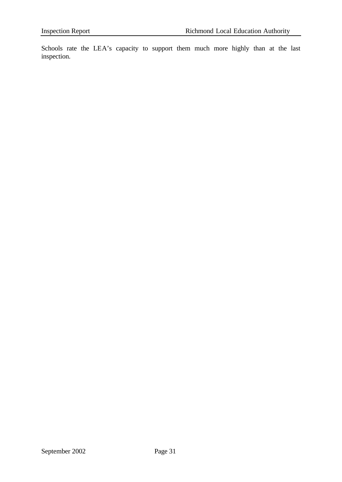Schools rate the LEA's capacity to support them much more highly than at the last inspection.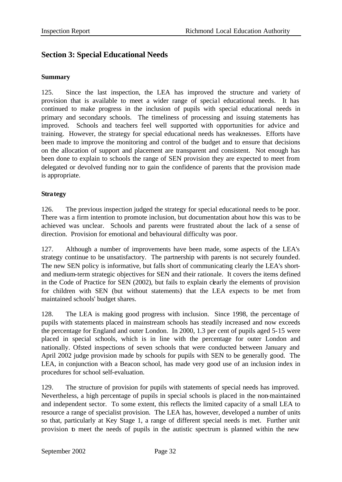# **Section 3: Special Educational Needs**

## **Summary**

125. Since the last inspection, the LEA has improved the structure and variety of provision that is available to meet a wider range of special educational needs. It has continued to make progress in the inclusion of pupils with special educational needs in primary and secondary schools. The timeliness of processing and issuing statements has improved. Schools and teachers feel well supported with opportunities for advice and training. However, the strategy for special educational needs has weaknesses. Efforts have been made to improve the monitoring and control of the budget and to ensure that decisions on the allocation of support and placement are transparent and consistent. Not enough has been done to explain to schools the range of SEN provision they are expected to meet from delegated or devolved funding nor to gain the confidence of parents that the provision made is appropriate.

## **Strategy**

126. The previous inspection judged the strategy for special educational needs to be poor. There was a firm intention to promote inclusion, but documentation about how this was to be achieved was unclear. Schools and parents were frustrated about the lack of a sense of direction. Provision for emotional and behavioural difficulty was poor.

127. Although a number of improvements have been made, some aspects of the LEA's strategy continue to be unsatisfactory. The partnership with parents is not securely founded. The new SEN policy is informative, but falls short of communicating clearly the LEA's shortand medium-term strategic objectives for SEN and their rationale. It covers the items defined in the Code of Practice for SEN (2002), but fails to explain clearly the elements of provision for children with SEN (but without statements) that the LEA expects to be met from maintained schools' budget shares.

128. The LEA is making good progress with inclusion. Since 1998, the percentage of pupils with statements placed in mainstream schools has steadily increased and now exceeds the percentage for England and outer London. In 2000, 1.3 per cent of pupils aged 5-15 were placed in special schools, which is in line with the percentage for outer London and nationally. Ofsted inspections of seven schools that were conducted between January and April 2002 judge provision made by schools for pupils with SEN to be generally good. The LEA, in conjunction with a Beacon school, has made very good use of an inclusion index in procedures for school self-evaluation.

129. The structure of provision for pupils with statements of special needs has improved. Nevertheless, a high percentage of pupils in special schools is placed in the non-maintained and independent sector. To some extent, this reflects the limited capacity of a small LEA to resource a range of specialist provision. The LEA has, however, developed a number of units so that, particularly at Key Stage 1, a range of different special needs is met. Further unit provision to meet the needs of pupils in the autistic spectrum is planned within the new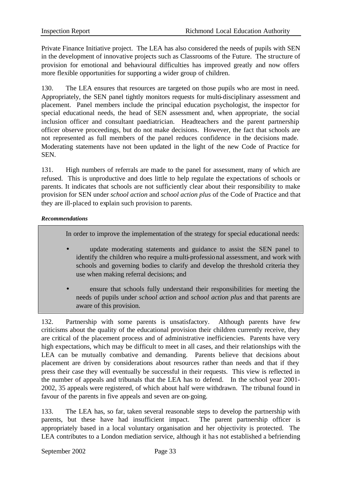Private Finance Initiative project. The LEA has also considered the needs of pupils with SEN in the development of innovative projects such as Classrooms of the Future. The structure of provision for emotional and behavioural difficulties has improved greatly and now offers more flexible opportunities for supporting a wider group of children.

130. The LEA ensures that resources are targeted on those pupils who are most in need. Appropriately, the SEN panel tightly monitors requests for multi-disciplinary assessment and placement. Panel members include the principal education psychologist, the inspector for special educational needs, the head of SEN assessment and, when appropriate, the social inclusion officer and consultant paediatrician. Headteachers and the parent partnership officer observe proceedings, but do not make decisions. However, the fact that schools are not represented as full members of the panel reduces confidence in the decisions made. Moderating statements have not been updated in the light of the new Code of Practice for SEN.

131. High numbers of referrals are made to the panel for assessment, many of which are refused. This is unproductive and does little to help regulate the expectations of schools or parents. It indicates that schools are not sufficiently clear about their responsibility to make provision for SEN under *school action* and *school action plus* of the Code of Practice and that they are ill-placed to explain such provision to parents.

#### *Recommendations*

In order to improve the implementation of the strategy for special educational needs:

- update moderating statements and guidance to assist the SEN panel to identify the children who require a multi-professional assessment, and work with schools and governing bodies to clarify and develop the threshold criteria they use when making referral decisions; and
- ensure that schools fully understand their responsibilities for meeting the needs of pupils under *school action* and *school action plus* and that parents are aware of this provision.

132. Partnership with some parents is unsatisfactory. Although parents have few criticisms about the quality of the educational provision their children currently receive, they are critical of the placement process and of administrative inefficiencies. Parents have very high expectations, which may be difficult to meet in all cases, and their relationships with the LEA can be mutually combative and demanding. Parents believe that decisions about placement are driven by considerations about resources rather than needs and that if they press their case they will eventually be successful in their requests. This view is reflected in the number of appeals and tribunals that the LEA has to defend. In the school year 2001- 2002, 35 appeals were registered, of which about half were withdrawn. The tribunal found in favour of the parents in five appeals and seven are on-going.

133. The LEA has, so far, taken several reasonable steps to develop the partnership with parents, but these have had insufficient impact. The parent partnership officer is appropriately based in a local voluntary organisation and her objectivity is protected. The LEA contributes to a London mediation service, although it has not established a befriending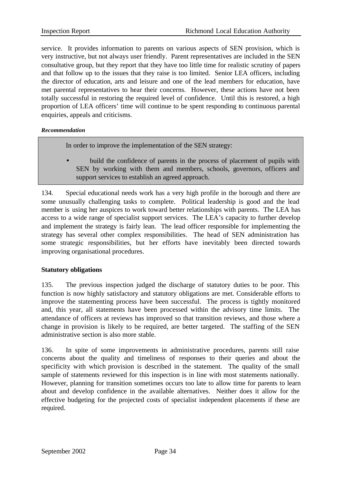service. It provides information to parents on various aspects of SEN provision, which is very instructive, but not always user friendly. Parent representatives are included in the SEN consultative group, but they report that they have too little time for realistic scrutiny of papers and that follow up to the issues that they raise is too limited. Senior LEA officers, including the director of education, arts and leisure and one of the lead members for education, have met parental representatives to hear their concerns. However, these actions have not been totally successful in restoring the required level of confidence. Until this is restored, a high proportion of LEA officers' time will continue to be spent responding to continuous parental enquiries, appeals and criticisms.

#### *Recommendation*

In order to improve the implementation of the SEN strategy:

• build the confidence of parents in the process of placement of pupils with SEN by working with them and members, schools, governors, officers and support services to establish an agreed approach.

134. Special educational needs work has a very high profile in the borough and there are some unusually challenging tasks to complete. Political leadership is good and the lead member is using her auspices to work toward better relationships with parents. The LEA has access to a wide range of specialist support services. The LEA's capacity to further develop and implement the strategy is fairly lean. The lead officer responsible for implementing the strategy has several other complex responsibilities. The head of SEN administration has some strategic responsibilities, but her efforts have inevitably been directed towards improving organisational procedures.

## **Statutory obligations**

135. The previous inspection judged the discharge of statutory duties to be poor. This function is now highly satisfactory and statutory obligations are met. Considerable efforts to improve the statementing process have been successful. The process is tightly monitored and, this year, all statements have been processed within the advisory time limits. The attendance of officers at reviews has improved so that transition reviews, and those where a change in provision is likely to be required, are better targeted. The staffing of the SEN administrative section is also more stable.

136. In spite of some improvements in administrative procedures, parents still raise concerns about the quality and timeliness of responses to their queries and about the specificity with which provision is described in the statement. The quality of the small sample of statements reviewed for this inspection is in line with most statements nationally. However, planning for transition sometimes occurs too late to allow time for parents to learn about and develop confidence in the available alternatives. Neither does it allow for the effective budgeting for the projected costs of specialist independent placements if these are required.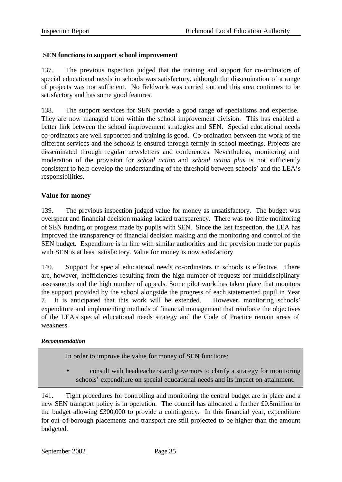## **SEN functions to support school improvement**

137. The previous inspection judged that the training and support for co-ordinators of special educational needs in schools was satisfactory, although the dissemination of a range of projects was not sufficient. No fieldwork was carried out and this area continues to be satisfactory and has some good features.

138. The support services for SEN provide a good range of specialisms and expertise. They are now managed from within the school improvement division. This has enabled a better link between the school improvement strategies and SEN. Special educational needs co-ordinators are well supported and training is good. Co-ordination between the work of the different services and the schools is ensured through termly in-school meetings. Projects are disseminated through regular newsletters and conferences. Nevertheless, monitoring and moderation of the provision for *school action* and *school action plus* is not sufficiently consistent to help develop the understanding of the threshold between schools' and the LEA's responsibilities.

## **Value for money**

139. The previous inspection judged value for money as unsatisfactory. The budget was overspent and financial decision making lacked transparency. There was too little monitoring of SEN funding or progress made by pupils with SEN. Since the last inspection, the LEA has improved the transparency of financial decision making and the monitoring and control of the SEN budget. Expenditure is in line with similar authorities and the provision made for pupils with SEN is at least satisfactory. Value for money is now satisfactory

140. Support for special educational needs co-ordinators in schools is effective. There are, however, inefficiencies resulting from the high number of requests for multidisciplinary assessments and the high number of appeals. Some pilot work has taken place that monitors the support provided by the school alongside the progress of each statemented pupil in Year 7. It is anticipated that this work will be extended. However, monitoring schools' expenditure and implementing methods of financial management that reinforce the objectives of the LEA's special educational needs strategy and the Code of Practice remain areas of weakness.

## *Recommendation*

In order to improve the value for money of SEN functions:

• consult with headteache rs and governors to clarify a strategy for monitoring schools' expenditure on special educational needs and its impact on attainment.

141. Tight procedures for controlling and monitoring the central budget are in place and a new SEN transport policy is in operation. The council has allocated a further £0.5million to the budget allowing £300,000 to provide a contingency. In this financial year, expenditure for out-of-borough placements and transport are still projected to be higher than the amount budgeted.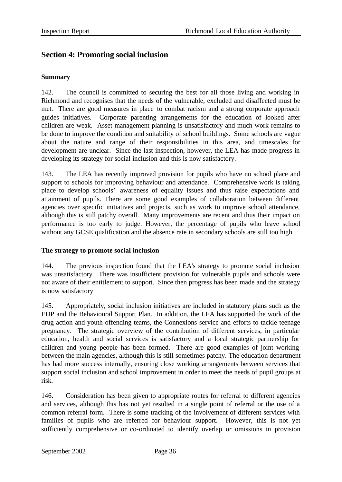# **Section 4: Promoting social inclusion**

#### **Summary**

142. The council is committed to securing the best for all those living and working in Richmond and recognises that the needs of the vulnerable, excluded and disaffected must be met. There are good measures in place to combat racism and a strong corporate approach guides initiatives. Corporate parenting arrangements for the education of looked after children are weak. Asset management planning is unsatisfactory and much work remains to be done to improve the condition and suitability of school buildings. Some schools are vague about the nature and range of their responsibilities in this area, and timescales for development are unclear. Since the last inspection, however, the LEA has made progress in developing its strategy for social inclusion and this is now satisfactory.

143. The LEA has recently improved provision for pupils who have no school place and support to schools for improving behaviour and attendance. Comprehensive work is taking place to develop schools' awareness of equality issues and thus raise expectations and attainment of pupils. There are some good examples of collaboration between different agencies over specific initiatives and projects, such as work to improve school attendance, although this is still patchy overall. Many improvements are recent and thus their impact on performance is too early to judge. However, the percentage of pupils who leave school without any GCSE qualification and the absence rate in secondary schools are still too high.

## **The strategy to promote social inclusion**

144. The previous inspection found that the LEA's strategy to promote social inclusion was unsatisfactory. There was insufficient provision for vulnerable pupils and schools were not aware of their entitlement to support. Since then progress has been made and the strategy is now satisfactory

145. Appropriately, social inclusion initiatives are included in statutory plans such as the EDP and the Behavioural Support Plan. In addition, the LEA has supported the work of the drug action and youth offending teams, the Connexions service and efforts to tackle teenage pregnancy. The strategic overview of the contribution of different services, in particular education, health and social services is satisfactory and a local strategic partnership for children and young people has been formed. There are good examples of joint working between the main agencies, although this is still sometimes patchy. The education department has had more success internally, ensuring close working arrangements between services that support social inclusion and school improvement in order to meet the needs of pupil groups at risk.

146. Consideration has been given to appropriate routes for referral to different agencies and services, although this has not yet resulted in a single point of referral or the use of a common referral form. There is some tracking of the involvement of different services with families of pupils who are referred for behaviour support. However, this is not yet sufficiently comprehensive or co-ordinated to identify overlap or omissions in provision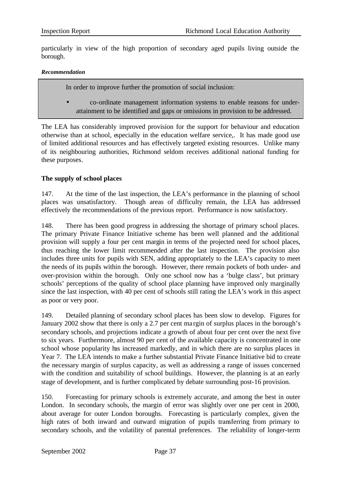particularly in view of the high proportion of secondary aged pupils living outside the borough.

#### *Recommendation*

In order to improve further the promotion of social inclusion:

• co-ordinate management information systems to enable reasons for underattainment to be identified and gaps or omissions in provision to be addressed.

The LEA has considerably improved provision for the support for behaviour and education otherwise than at school, especially in the education welfare service,. It has made good use of limited additional resources and has effectively targeted existing resources. Unlike many of its neighbouring authorities, Richmond seldom receives additional national funding for these purposes.

## **The supply of school places**

147. At the time of the last inspection, the LEA's performance in the planning of school places was unsatisfactory. Though areas of difficulty remain, the LEA has addressed effectively the recommendations of the previous report. Performance is now satisfactory.

148. There has been good progress in addressing the shortage of primary school places. The primary Private Finance Initiative scheme has been well planned and the additional provision will supply a four per cent margin in terms of the projected need for school places, thus reaching the lower limit recommended after the last inspection. The provision also includes three units for pupils with SEN, adding appropriately to the LEA's capacity to meet the needs of its pupils within the borough. However, there remain pockets of both under- and over-provision within the borough. Only one school now has a 'bulge class', but primary schools' perceptions of the quality of school place planning have improved only marginally since the last inspection, with 40 per cent of schools still rating the LEA's work in this aspect as poor or very poor.

149. Detailed planning of secondary school places has been slow to develop. Figures for January 2002 show that there is only a 2.7 per cent ma rgin of surplus places in the borough's secondary schools, and projections indicate a growth of about four per cent over the next five to six years. Furthermore, almost 90 per cent of the available capacity is concentrated in one school whose popularity has increased markedly, and in which there are no surplus places in Year 7. The LEA intends to make a further substantial Private Finance Initiative bid to create the necessary margin of surplus capacity, as well as addressing a range of issues concerned with the condition and suitability of school buildings. However, the planning is at an early stage of development, and is further complicated by debate surrounding post-16 provision.

150. Forecasting for primary schools is extremely accurate, and among the best in outer London. In secondary schools, the margin of error was slightly over one per cent in 2000, about average for outer London boroughs. Forecasting is particularly complex, given the high rates of both inward and outward migration of pupils transferring from primary to secondary schools, and the volatility of parental preferences. The reliability of longer-term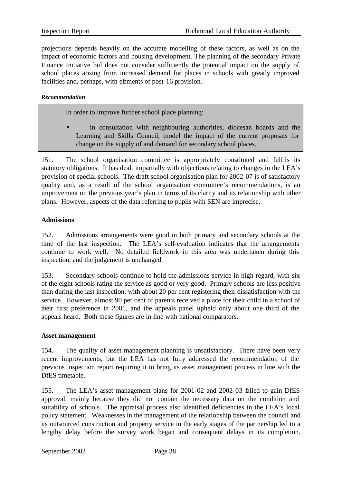projections depends heavily on the accurate modelling of these factors, as well as on the impact of economic factors and housing development. The planning of the secondary Private Finance Initiative bid does not consider sufficiently the potential impact on the supply of school places arising from increased demand for places in schools with greatly improved facilities and, perhaps, with elements of post-16 provision.

#### *Recommendation*

In order to improve further school place planning:

in consultation with neighbouring authorities, diocesan boards and the Learning and Skills Council, model the impact of the current proposals for change on the supply of and demand for secondary school places.

151. The school organisation committee is appropriately constituted and fulfils its statutory obligations. It has dealt impartially with objections relating to changes in the LEA's provision of special schools. The draft school organisation plan for 2002-07 is of satisfactory quality and, as a result of the school organisation committee's recommendations, is an improvement on the previous year's plan in terms of its clarity and its relationship with other plans. However, aspects of the data referring to pupils with SEN are imprecise.

#### **Admissions**

152. Admissions arrangements were good in both primary and secondary schools at the time of the last inspection. The LEA's self-evaluation indicates that the arrangements continue to work well. No detailed fieldwork in this area was undertaken during this inspection, and the judgement is unchanged.

153. Secondary schools continue to hold the admissions service in high regard, with six of the eight schools rating the service as good or very good. Primary schools are less positive than during the last inspection, with about 20 per cent registering their dissatisfaction with the service. However, almost 90 per cent of parents received a place for their child in a school of their first preference in 2001, and the appeals panel upheld only about one third of the appeals heard. Both these figures are in line with national comparators.

#### **Asset management**

154. The quality of asset management planning is unsatisfactory. There have been very recent improvements, but the LEA has not fully addressed the recommendation of the previous inspection report requiring it to bring its asset management process in line with the DfES timetable.

155. The LEA's asset management plans for 2001-02 and 2002-03 failed to gain DfES approval, mainly because they did not contain the necessary data on the condition and suitability of schools. The appraisal process also identified deficiencies in the LEA's local policy statement. Weaknesses in the management of the relationship between the council and its outsourced construction and property service in the early stages of the partnership led to a lengthy delay before the survey work began and consequent delays in its completion.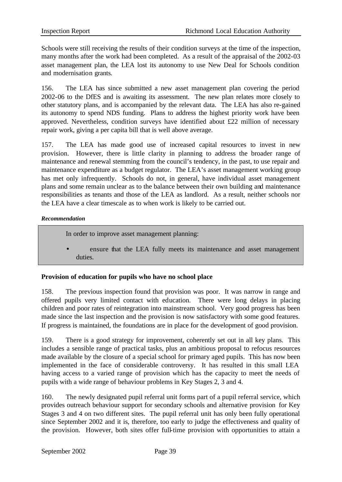Schools were still receiving the results of their condition surveys at the time of the inspection, many months after the work had been completed. As a result of the appraisal of the 2002-03 asset management plan, the LEA lost its autonomy to use New Deal for Schools condition and modernisation grants.

156. The LEA has since submitted a new asset management plan covering the period 2002-06 to the DfES and is awaiting its assessment. The new plan relates more closely to other statutory plans, and is accompanied by the relevant data. The LEA has also re-gained its autonomy to spend NDS funding. Plans to address the highest priority work have been approved. Nevertheless, condition surveys have identified about £22 million of necessary repair work, giving a per capita bill that is well above average.

157. The LEA has made good use of increased capital resources to invest in new provision. However, there is little clarity in planning to address the broader range of maintenance and renewal stemming from the council's tendency, in the past, to use repair and maintenance expenditure as a budget regulator. The LEA's asset management working group has met only infrequently. Schools do not, in general, have individual asset management plans and some remain unclear as to the balance between their own building and maintenance responsibilities as tenants and those of the LEA as landlord. As a result, neither schools nor the LEA have a clear timescale as to when work is likely to be carried out.

#### *Recommendation*

In order to improve asset management planning:

ensure that the LEA fully meets its maintenance and asset management duties.

## **Provision of education for pupils who have no school place**

158. The previous inspection found that provision was poor. It was narrow in range and offered pupils very limited contact with education. There were long delays in placing children and poor rates of reintegration into mainstream school. Very good progress has been made since the last inspection and the provision is now satisfactory with some good features. If progress is maintained, the foundations are in place for the development of good provision.

159. There is a good strategy for improvement, coherently set out in all key plans. This includes a sensible range of practical tasks, plus an ambitious proposal to refocus resources made available by the closure of a special school for primary aged pupils. This has now been implemented in the face of considerable controversy. It has resulted in this small LEA having access to a varied range of provision which has the capacity to meet the needs of pupils with a wide range of behaviour problems in Key Stages 2, 3 and 4.

160. The newly designated pupil referral unit forms part of a pupil referral service, which provides outreach behaviour support for secondary schools and alternative provision for Key Stages 3 and 4 on two different sites. The pupil referral unit has only been fully operational since September 2002 and it is, therefore, too early to judge the effectiveness and quality of the provision. However, both sites offer full-time provision with opportunities to attain a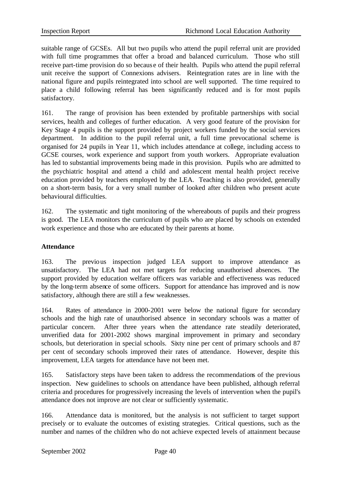suitable range of GCSEs. All but two pupils who attend the pupil referral unit are provided with full time programmes that offer a broad and balanced curriculum. Those who still receive part-time provision do so becaus e of their health. Pupils who attend the pupil referral unit receive the support of Connexions advisers. Reintegration rates are in line with the national figure and pupils reintegrated into school are well supported. The time required to place a child following referral has been significantly reduced and is for most pupils satisfactory.

161. The range of provision has been extended by profitable partnerships with social services, health and colleges of further education. A very good feature of the provision for Key Stage 4 pupils is the support provided by project workers funded by the social services department. In addition to the pupil referral unit, a full time prevocational scheme is organised for 24 pupils in Year 11, which includes attendance at college, including access to GCSE courses, work experience and support from youth workers. Appropriate evaluation has led to substantial improvements being made in this provision. Pupils who are admitted to the psychiatric hospital and attend a child and adolescent mental health project receive education provided by teachers employed by the LEA. Teaching is also provided, generally on a short-term basis, for a very small number of looked after children who present acute behavioural difficulties.

162. The systematic and tight monitoring of the whereabouts of pupils and their progress is good. The LEA monitors the curriculum of pupils who are placed by schools on extended work experience and those who are educated by their parents at home.

## **Attendance**

163. The previous inspection judged LEA support to improve attendance as unsatisfactory. The LEA had not met targets for reducing unauthorised absences. The support provided by education welfare officers was variable and effectiveness was reduced by the long-term absence of some officers. Support for attendance has improved and is now satisfactory, although there are still a few weaknesses.

164. Rates of attendance in 2000-2001 were below the national figure for secondary schools and the high rate of unauthorised absence in secondary schools was a matter of particular concern. After three years when the attendance rate steadily deteriorated, unverified data for 2001-2002 shows marginal improvement in primary and secondary schools, but deterioration in special schools. Sixty nine per cent of primary schools and 87 per cent of secondary schools improved their rates of attendance. However, despite this improvement, LEA targets for attendance have not been met.

165. Satisfactory steps have been taken to address the recommendations of the previous inspection. New guidelines to schools on attendance have been published, although referral criteria and procedures for progressively increasing the levels of intervention when the pupil's attendance does not improve are not clear or sufficiently systematic.

166. Attendance data is monitored, but the analysis is not sufficient to target support precisely or to evaluate the outcomes of existing strategies. Critical questions, such as the number and names of the children who do not achieve expected levels of attainment because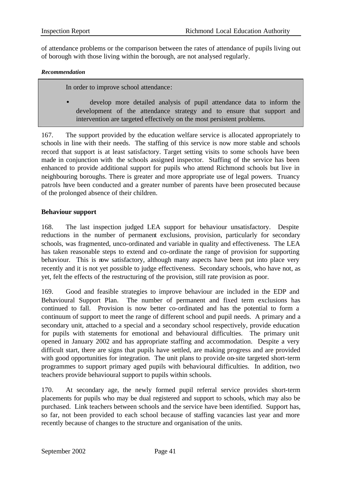of attendance problems or the comparison between the rates of attendance of pupils living out of borough with those living within the borough, are not analysed regularly.

#### *Recommendation*

In order to improve school attendance:

• develop more detailed analysis of pupil attendance data to inform the development of the attendance strategy and to ensure that support and intervention are targeted effectively on the most persistent problems.

167. The support provided by the education welfare service is allocated appropriately to schools in line with their needs. The staffing of this service is now more stable and schools record that support is at least satisfactory. Target setting visits to some schools have been made in conjunction with the schools assigned inspector. Staffing of the service has been enhanced to provide additional support for pupils who attend Richmond schools but live in neighbouring boroughs. There is greater and more appropriate use of legal powers. Truancy patrols have been conducted and a greater number of parents have been prosecuted because of the prolonged absence of their children.

## **Behaviour support**

168. The last inspection judged LEA support for behaviour unsatisfactory. Despite reductions in the number of permanent exclusions, provision, particularly for secondary schools, was fragmented, unco-ordinated and variable in quality and effectiveness. The LEA has taken reasonable steps to extend and co-ordinate the range of provision for supporting behaviour. This is now satisfactory, although many aspects have been put into place very recently and it is not yet possible to judge effectiveness. Secondary schools, who have not, as yet, felt the effects of the restructuring of the provision, still rate provision as poor.

169. Good and feasible strategies to improve behaviour are included in the EDP and Behavioural Support Plan. The number of permanent and fixed term exclusions has continued to fall. Provision is now better co-ordinated and has the potential to form a continuum of support to meet the range of different school and pupil needs. A primary and a secondary unit, attached to a special and a secondary school respectively, provide education for pupils with statements for emotional and behavioural difficulties. The primary unit opened in January 2002 and has appropriate staffing and accommodation. Despite a very difficult start, there are signs that pupils have settled, are making progress and are provided with good opportunities for integration. The unit plans to provide on-site targeted short-term programmes to support primary aged pupils with behavioural difficulties. In addition, two teachers provide behavioural support to pupils within schools.

170. At secondary age, the newly formed pupil referral service provides short-term placements for pupils who may be dual registered and support to schools, which may also be purchased. Link teachers between schools and the service have been identified. Support has, so far, not been provided to each school because of staffing vacancies last year and more recently because of changes to the structure and organisation of the units.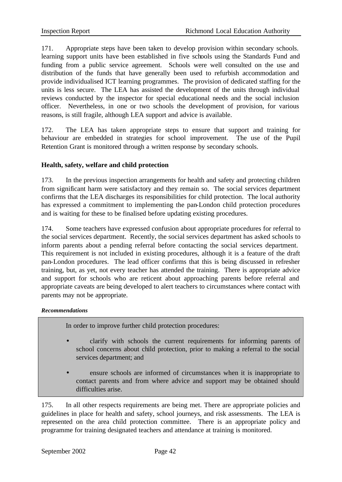171. Appropriate steps have been taken to develop provision within secondary schools. learning support units have been established in five schools using the Standards Fund and funding from a public service agreement. Schools were well consulted on the use and distribution of the funds that have generally been used to refurbish accommodation and provide individualised ICT learning programmes. The provision of dedicated staffing for the units is less secure. The LEA has assisted the development of the units through individual reviews conducted by the inspector for special educational needs and the social inclusion officer. Nevertheless, in one or two schools the development of provision, for various reasons, is still fragile, although LEA support and advice is available.

172. The LEA has taken appropriate steps to ensure that support and training for behaviour are embedded in strategies for school improvement. The use of the Pupil Retention Grant is monitored through a written response by secondary schools.

## **Health, safety, welfare and child protection**

173. In the previous inspection arrangements for health and safety and protecting children from significant harm were satisfactory and they remain so. The social services department confirms that the LEA discharges its responsibilities for child protection. The local authority has expressed a commitment to implementing the pan-London child protection procedures and is waiting for these to be finalised before updating existing procedures.

174. Some teachers have expressed confusion about appropriate procedures for referral to the social services department. Recently, the social services department has asked schools to inform parents about a pending referral before contacting the social services department. This requirement is not included in existing procedures, although it is a feature of the draft pan-London procedures. The lead officer confirms that this is being discussed in refresher training, but, as yet, not every teacher has attended the training. There is appropriate advice and support for schools who are reticent about approaching parents before referral and appropriate caveats are being developed to alert teachers to circumstances where contact with parents may not be appropriate.

#### *Recommendations*

In order to improve further child protection procedures:

- clarify with schools the current requirements for informing parents of school concerns about child protection, prior to making a referral to the social services department; and
- ensure schools are informed of circumstances when it is inappropriate to contact parents and from where advice and support may be obtained should difficulties arise.

175. In all other respects requirements are being met. There are appropriate policies and guidelines in place for health and safety, school journeys, and risk assessments. The LEA is represented on the area child protection committee. There is an appropriate policy and programme for training designated teachers and attendance at training is monitored.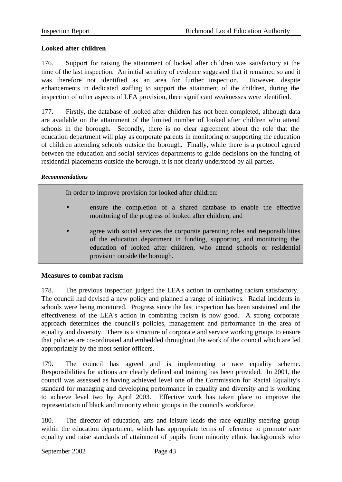## **Looked after children**

176. Support for raising the attainment of looked after children was satisfactory at the time of the last inspection. An initial scrutiny of evidence suggested that it remained so and it was therefore not identified as an area for further inspection. However, despite enhancements in dedicated staffing to support the attainment of the children, during the inspection of other aspects of LEA provision, three significant weaknesses were identified.

177. Firstly, the database of looked after children has not been completed, although data are available on the attainment of the limited number of looked after children who attend schools in the borough. Secondly, there is no clear agreement about the role that the education department will play as corporate parents in monitoring or supporting the education of children attending schools outside the borough. Finally, while there is a protocol agreed between the education and social services departments to guide decisions on the funding of residential placements outside the borough, it is not clearly understood by all parties.

#### *Recommendations*

In order to improve provision for looked after children:

- ensure the completion of a shared database to enable the effective monitoring of the progress of looked after children; and
- agree with social services the corporate parenting roles and responsibilities of the education department in funding, supporting and monitoring the education of looked after children, who attend schools or residential provision outside the borough.

## **Measures to combat racism**

178. The previous inspection judged the LEA's action in combating racism satisfactory. The council had devised a new policy and planned a range of initiatives. Racial incidents in schools were being monitored. Progress since the last inspection has been sustained and the effectiveness of the LEA's action in combating racism is now good. A strong corporate approach determines the counc il's policies, management and performance in the area of equality and diversity. There is a structure of corporate and service working groups to ensure that policies are co-ordinated and embedded throughout the work of the council which are led appropriately by the most senior officers.

179. The council has agreed and is implementing a race equality scheme. Responsibilities for actions are clearly defined and training has been provided. In 2001, the council was assessed as having achieved level one of the Commission for Racial Equality's standard for managing and developing performance in equality and diversity and is working to achieve level two by April 2003. Effective work has taken place to improve the representation of black and minority ethnic groups in the council's workforce.

180. The director of education, arts and leisure leads the race equality steering group within the education department, which has appropriate terms of reference to promote race equality and raise standards of attainment of pupils from minority ethnic backgrounds who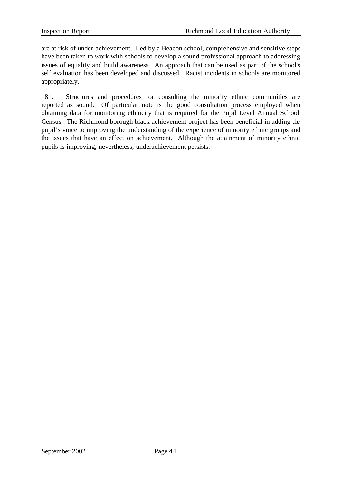are at risk of under-achievement. Led by a Beacon school, comprehensive and sensitive steps have been taken to work with schools to develop a sound professional approach to addressing issues of equality and build awareness. An approach that can be used as part of the school's self evaluation has been developed and discussed. Racist incidents in schools are monitored appropriately.

181. Structures and procedures for consulting the minority ethnic communities are reported as sound. Of particular note is the good consultation process employed when obtaining data for monitoring ethnicity that is required for the Pupil Level Annual School Census. The Richmond borough black achievement project has been beneficial in adding the pupil's voice to improving the understanding of the experience of minority ethnic groups and the issues that have an effect on achievement. Although the attainment of minority ethnic pupils is improving, nevertheless, underachievement persists.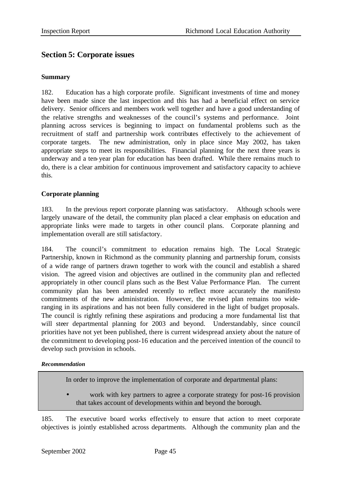# **Section 5: Corporate issues**

#### **Summary**

182. Education has a high corporate profile. Significant investments of time and money have been made since the last inspection and this has had a beneficial effect on service delivery. Senior officers and members work well together and have a good understanding of the relative strengths and weaknesses of the council's systems and performance. Joint planning across services is beginning to impact on fundamental problems such as the recruitment of staff and partnership work contributes effectively to the achievement of corporate targets. The new administration, only in place since May 2002, has taken appropriate steps to meet its responsibilities. Financial planning for the next three years is underway and a ten-year plan for education has been drafted. While there remains much to do, there is a clear ambition for continuous improvement and satisfactory capacity to achieve this.

## **Corporate planning**

183. In the previous report corporate planning was satisfactory. Although schools were largely unaware of the detail, the community plan placed a clear emphasis on education and appropriate links were made to targets in other council plans. Corporate planning and implementation overall are still satisfactory.

184. The council's commitment to education remains high. The Local Strategic Partnership, known in Richmond as the community planning and partnership forum, consists of a wide range of partners drawn together to work with the council and establish a shared vision. The agreed vision and objectives are outlined in the community plan and reflected appropriately in other council plans such as the Best Value Performance Plan. The current community plan has been amended recently to reflect more accurately the manifesto commitments of the new administration. However, the revised plan remains too wideranging in its aspirations and has not been fully considered in the light of budget proposals. The council is rightly refining these aspirations and producing a more fundamental list that will steer departmental planning for 2003 and beyond. Understandably, since council priorities have not yet been published, there is current widespread anxiety about the nature of the commitment to developing post-16 education and the perceived intention of the council to develop such provision in schools.

#### *Recommendation*

In order to improve the implementation of corporate and departmental plans:

work with key partners to agree a corporate strategy for post-16 provision that takes account of developments within and beyond the borough.

185. The executive board works effectively to ensure that action to meet corporate objectives is jointly established across departments. Although the community plan and the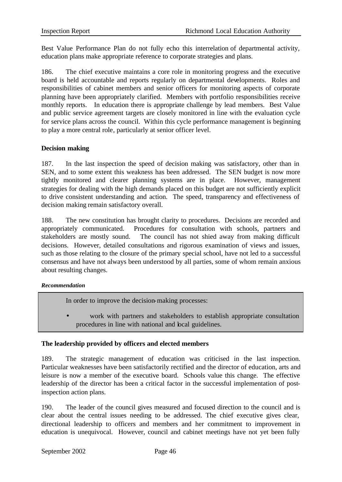Best Value Performance Plan do not fully echo this interrelation of departmental activity, education plans make appropriate reference to corporate strategies and plans.

186. The chief executive maintains a core role in monitoring progress and the executive board is held accountable and reports regularly on departmental developments. Roles and responsibilities of cabinet members and senior officers for monitoring aspects of corporate planning have been appropriately clarified.Members with portfolio responsibilities receive monthly reports. In education there is appropriate challenge by lead members. Best Value and public service agreement targets are closely monitored in line with the evaluation cycle for service plans across the council. Within this cycle performance management is beginning to play a more central role, particularly at senior officer level.

#### **Decision making**

187. In the last inspection the speed of decision making was satisfactory, other than in SEN, and to some extent this weakness has been addressed. The SEN budget is now more tightly monitored and clearer planning systems are in place. However, management strategies for dealing with the high demands placed on this budget are not sufficiently explicit to drive consistent understanding and action. The speed, transparency and effectiveness of decision making remain satisfactory overall.

188. The new constitution has brought clarity to procedures. Decisions are recorded and appropriately communicated. Procedures for consultation with schools, partners and stakeholders are mostly sound. The council has not shied away from making difficult decisions. However, detailed consultations and rigorous examination of views and issues, such as those relating to the closure of the primary special school, have not led to a successful consensus and have not always been understood by all parties, some of whom remain anxious about resulting changes.

#### *Recommendation*

In order to improve the decision-making processes:

work with partners and stakeholders to establish appropriate consultation procedures in line with national and local guidelines.

## **The leadership provided by officers and elected members**

189. The strategic management of education was criticised in the last inspection. Particular weaknesses have been satisfactorily rectified and the director of education, arts and leisure is now a member of the executive board. Schools value this change. The effective leadership of the director has been a critical factor in the successful implementation of postinspection action plans.

190. The leader of the council gives measured and focused direction to the council and is clear about the central issues needing to be addressed. The chief executive gives clear, directional leadership to officers and members and her commitment to improvement in education is unequivocal. However, council and cabinet meetings have not yet been fully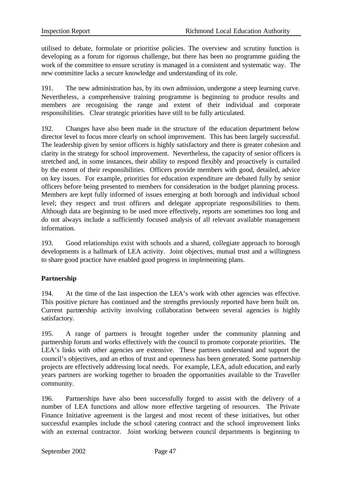utilised to debate, formulate or prioritise policies. The overview and scrutiny function is developing as a forum for rigorous challenge, but there has been no programme guiding the work of the committee to ensure scrutiny is managed in a consistent and systematic way. The new committee lacks a secure knowledge and understanding of its role.

191. The new administration has, by its own admission, undergone a steep learning curve. Nevertheless, a comprehensive training programme is beginning to produce results and members are recognising the range and extent of their individual and corporate responsibilities. Clear strategic priorities have still to be fully articulated.

192. Changes have also been made in the structure of the education department below director level to focus more clearly on school improvement. This has been largely successful. The leadership given by senior officers is highly satisfactory and there is greater cohesion and clarity in the strategy for school improvement. Nevertheless, the capacity of senior officers is stretched and, in some instances, their ability to respond flexibly and proactively is curtailed by the extent of their responsibilities. Officers provide members with good, detailed, advice on key issues. For example, priorities for education expenditure are debated fully by senior officers before being presented to members for consideration in the budget planning process. Members are kept fully informed of issues emerging at both borough and individual school level; they respect and trust officers and delegate appropriate responsibilities to them. Although data are beginning to be used more effectively, reports are sometimes too long and do not always include a sufficiently focused analysis of all relevant available management information.

193. Good relationships exist with schools and a shared, collegiate approach to borough developments is a hallmark of LEA activity. Joint objectives, mutual trust and a willingness to share good practice have enabled good progress in implementing plans.

## **Partnership**

194. At the time of the last inspection the LEA's work with other agencies was effective. This positive picture has continued and the strengths previously reported have been built on. Current partnership activity involving collaboration between several agencies is highly satisfactory.

195. A range of partners is brought together under the community planning and partnership forum and works effectively with the council to promote corporate priorities. The LEA's links with other agencies are extensive. These partners understand and support the council's objectives, and an ethos of trust and openness has been generated. Some partnership projects are effectively addressing local needs. For example, LEA, adult education, and early years partners are working together to broaden the opportunities available to the Traveller community.

196. Partnerships have also been successfully forged to assist with the delivery of a number of LEA functions and allow more effective targeting of resources. The Private Finance Initiative agreement is the largest and most recent of these initiatives, but other successful examples include the school catering contract and the school improvement links with an external contractor. Joint working between council departments is beginning to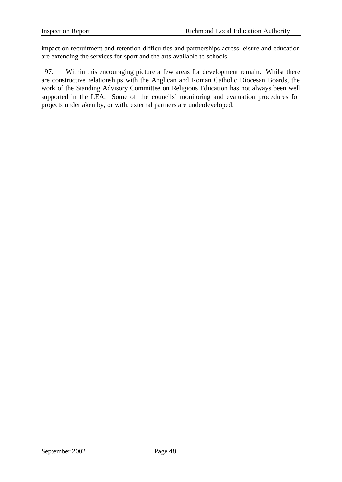impact on recruitment and retention difficulties and partnerships across leisure and education are extending the services for sport and the arts available to schools.

197. Within this encouraging picture a few areas for development remain. Whilst there are constructive relationships with the Anglican and Roman Catholic Diocesan Boards, the work of the Standing Advisory Committee on Religious Education has not always been well supported in the LEA. Some of the councils' monitoring and evaluation procedures for projects undertaken by, or with, external partners are underdeveloped.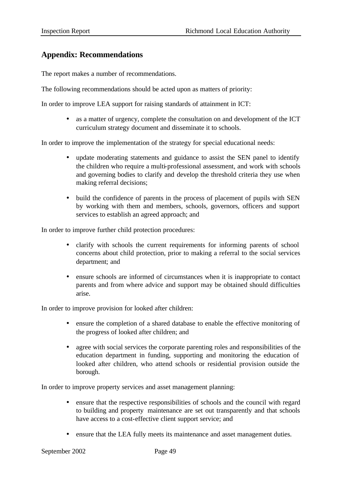# **Appendix: Recommendations**

The report makes a number of recommendations.

The following recommendations should be acted upon as matters of priority:

In order to improve LEA support for raising standards of attainment in ICT:

• as a matter of urgency, complete the consultation on and development of the ICT curriculum strategy document and disseminate it to schools.

In order to improve the implementation of the strategy for special educational needs:

- update moderating statements and guidance to assist the SEN panel to identify the children who require a multi-professional assessment, and work with schools and governing bodies to clarify and develop the threshold criteria they use when making referral decisions;
- build the confidence of parents in the process of placement of pupils with SEN by working with them and members, schools, governors, officers and support services to establish an agreed approach; and

In order to improve further child protection procedures:

- clarify with schools the current requirements for informing parents of school concerns about child protection, prior to making a referral to the social services department; and
- ensure schools are informed of circumstances when it is inappropriate to contact parents and from where advice and support may be obtained should difficulties arise.

In order to improve provision for looked after children:

- ensure the completion of a shared database to enable the effective monitoring of the progress of looked after children; and
- agree with social services the corporate parenting roles and responsibilities of the education department in funding, supporting and monitoring the education of looked after children, who attend schools or residential provision outside the borough.

In order to improve property services and asset management planning:

- ensure that the respective responsibilities of schools and the council with regard to building and property maintenance are set out transparently and that schools have access to a cost-effective client support service; and
- ensure that the LEA fully meets its maintenance and asset management duties.